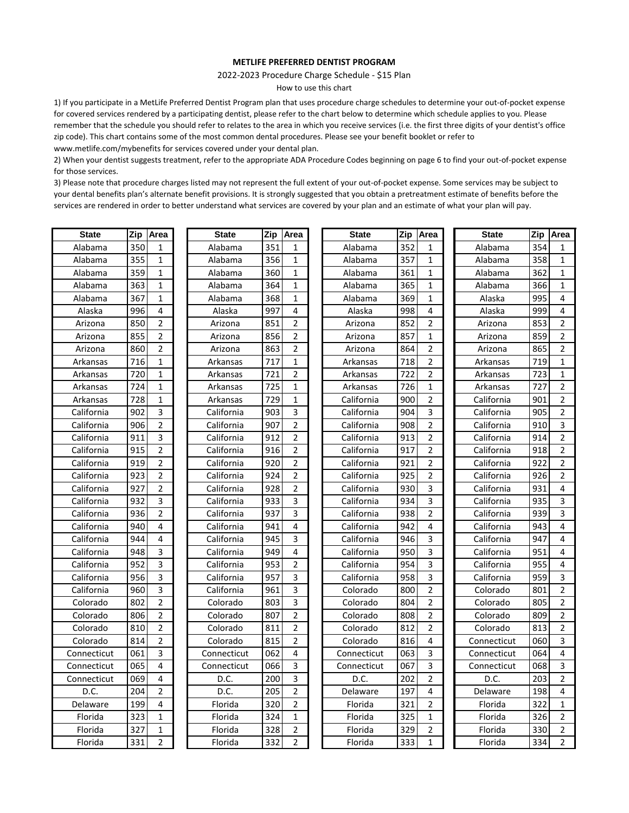#### **METLIFE PREFERRED DENTIST PROGRAM**

2022-2023 Procedure Charge Schedule - \$15 Plan

How to use this chart

1) If you participate in a MetLife Preferred Dentist Program plan that uses procedure charge schedules to determine your out-of-pocket expense for covered services rendered by a participating dentist, please refer to the chart below to determine which schedule applies to you. Please remember that the schedule you should refer to relates to the area in which you receive services (i.e. the first three digits of your dentist's office zip code). This chart contains some of the most common dental procedures. Please see your benefit booklet or refer to www.metlife.com/mybenefits for services covered under your dental plan.

2) When your dentist suggests treatment, refer to the appropriate ADA Procedure Codes beginning on page 6 to find your out-of-pocket expense for those services.

3) Please note that procedure charges listed may not represent the full extent of your out-of-pocket expense. Some services may be subject to your dental benefits plan's alternate benefit provisions. It is strongly suggested that you obtain a pretreatment estimate of benefits before the services are rendered in order to better understand what services are covered by your plan and an estimate of what your plan will pay.

| <b>State</b> | Zip | Area           | <b>State</b> | Zip | Area           | <b>State</b> | Zip | Area           | <b>State</b> | Zip | Area           |
|--------------|-----|----------------|--------------|-----|----------------|--------------|-----|----------------|--------------|-----|----------------|
| Alabama      | 350 | 1              | Alabama      | 351 | 1              | Alabama      | 352 | 1              | Alabama      | 354 | 1              |
| Alabama      | 355 | $\mathbf{1}$   | Alabama      | 356 | $\mathbf{1}$   | Alabama      | 357 | $\mathbf{1}$   | Alabama      | 358 | $\mathbf{1}$   |
| Alabama      | 359 | $\mathbf{1}$   | Alabama      | 360 | $\mathbf{1}$   | Alabama      | 361 | $\mathbf{1}$   | Alabama      | 362 | $\mathbf{1}$   |
| Alabama      | 363 | $\mathbf{1}$   | Alabama      | 364 | $\mathbf{1}$   | Alabama      | 365 | $\mathbf{1}$   | Alabama      | 366 | $\mathbf{1}$   |
| Alabama      | 367 | $\mathbf{1}$   | Alabama      | 368 | $\mathbf{1}$   | Alabama      | 369 | $\mathbf{1}$   | Alaska       | 995 | 4              |
| Alaska       | 996 | 4              | Alaska       | 997 | 4              | Alaska       | 998 | 4              | Alaska       | 999 | 4              |
| Arizona      | 850 | $\overline{2}$ | Arizona      | 851 | 2              | Arizona      | 852 | $\overline{2}$ | Arizona      | 853 | $\overline{2}$ |
| Arizona      | 855 | $\overline{2}$ | Arizona      | 856 | 2              | Arizona      | 857 | $\mathbf{1}$   | Arizona      | 859 | $\overline{2}$ |
| Arizona      | 860 | 2              | Arizona      | 863 | $\overline{2}$ | Arizona      | 864 | 2              | Arizona      | 865 | $\overline{2}$ |
| Arkansas     | 716 | $\mathbf{1}$   | Arkansas     | 717 | $\mathbf{1}$   | Arkansas     | 718 | 2              | Arkansas     | 719 | $\mathbf{1}$   |
| Arkansas     | 720 | 1              | Arkansas     | 721 | 2              | Arkansas     | 722 | $\overline{2}$ | Arkansas     | 723 | $\mathbf{1}$   |
| Arkansas     | 724 | $\mathbf{1}$   | Arkansas     | 725 | $\mathbf{1}$   | Arkansas     | 726 | $\mathbf{1}$   | Arkansas     | 727 | $\overline{2}$ |
| Arkansas     | 728 | 1              | Arkansas     | 729 | $\mathbf{1}$   | California   | 900 | $\overline{2}$ | California   | 901 | $\overline{2}$ |
| California   | 902 | 3              | California   | 903 | 3              | California   | 904 | 3              | California   | 905 | $\overline{2}$ |
| California   | 906 | 2              | California   | 907 | $\overline{2}$ | California   | 908 | $\overline{2}$ | California   | 910 | 3              |
| California   | 911 | 3              | California   | 912 | 2              | California   | 913 | $\overline{2}$ | California   | 914 | $\overline{2}$ |
| California   | 915 | 2              | California   | 916 | 2              | California   | 917 | $\overline{2}$ | California   | 918 | $\overline{2}$ |
| California   | 919 | $\overline{2}$ | California   | 920 | $\overline{2}$ | California   | 921 | $\overline{2}$ | California   | 922 | $\overline{2}$ |
| California   | 923 | $\overline{2}$ | California   | 924 | 2              | California   | 925 | $\overline{2}$ | California   | 926 | $\overline{2}$ |
| California   | 927 | 2              | California   | 928 | 2              | California   | 930 | 3              | California   | 931 | 4              |
| California   | 932 | 3              | California   | 933 | 3              | California   | 934 | 3              | California   | 935 | 3              |
| California   | 936 | 2              | California   | 937 | 3              | California   | 938 | $\overline{2}$ | California   | 939 | 3              |
| California   | 940 | 4              | California   | 941 | 4              | California   | 942 | 4              | California   | 943 | 4              |
| California   | 944 | 4              | California   | 945 | 3              | California   | 946 | 3              | California   | 947 | 4              |
| California   | 948 | 3              | California   | 949 | 4              | California   | 950 | 3              | California   | 951 | 4              |
| California   | 952 | 3              | California   | 953 | $\overline{2}$ | California   | 954 | 3              | California   | 955 | 4              |
| California   | 956 | 3              | California   | 957 | 3              | California   | 958 | 3              | California   | 959 | 3              |
| California   | 960 | 3              | California   | 961 | 3              | Colorado     | 800 | $\overline{2}$ | Colorado     | 801 | $\overline{2}$ |
| Colorado     | 802 | 2              | Colorado     | 803 | 3              | Colorado     | 804 | 2              | Colorado     | 805 | $\overline{2}$ |
| Colorado     | 806 | $\overline{2}$ | Colorado     | 807 | 2              | Colorado     | 808 | $\overline{2}$ | Colorado     | 809 | $\overline{2}$ |
| Colorado     | 810 | $\overline{2}$ | Colorado     | 811 | $\overline{2}$ | Colorado     | 812 | $\overline{2}$ | Colorado     | 813 | $\overline{2}$ |
| Colorado     | 814 | $\overline{2}$ | Colorado     | 815 | $\overline{2}$ | Colorado     | 816 | $\overline{4}$ | Connecticut  | 060 | 3              |
| Connecticut  | 061 | 3              | Connecticut  | 062 | 4              | Connecticut  | 063 | 3              | Connecticut  | 064 | 4              |
| Connecticut  | 065 | 4              | Connecticut  | 066 | 3              | Connecticut  | 067 | 3              | Connecticut  | 068 | 3              |
| Connecticut  | 069 | 4              | D.C.         | 200 | 3              | D.C.         | 202 | $\overline{2}$ | D.C.         | 203 | $\overline{2}$ |
| D.C.         | 204 | 2              | D.C.         | 205 | $\overline{2}$ | Delaware     | 197 | 4              | Delaware     | 198 | 4              |
| Delaware     | 199 | 4              | Florida      | 320 | 2              | Florida      | 321 | $\overline{2}$ | Florida      | 322 | $\mathbf{1}$   |
| Florida      | 323 | 1              | Florida      | 324 | $\mathbf{1}$   | Florida      | 325 | 1              | Florida      | 326 | $\overline{2}$ |
| Florida      | 327 | 1              | Florida      | 328 | $\overline{2}$ | Florida      | 329 | $\overline{2}$ | Florida      | 330 | $\overline{2}$ |
| Florida      | 331 | $\overline{2}$ | Florida      | 332 | $\overline{2}$ | Florida      | 333 | $\mathbf{1}$   | Florida      | 334 | $\overline{2}$ |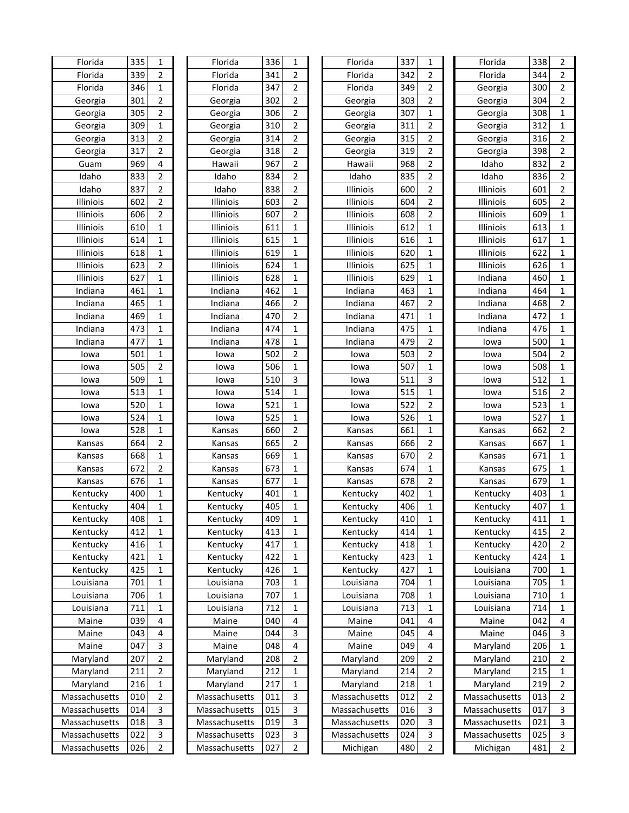| Florida       | 335 | 1              | Florida       | 336 | 1              | Florida       | 337 | 1              | Florida       | 338 | 2              |
|---------------|-----|----------------|---------------|-----|----------------|---------------|-----|----------------|---------------|-----|----------------|
| Florida       | 339 | $\overline{2}$ | Florida       | 341 | $\overline{2}$ | Florida       | 342 | $\overline{2}$ | Florida       | 344 | 2              |
| Florida       | 346 | 1              | Florida       | 347 | $\overline{2}$ | Florida       | 349 | $\overline{2}$ | Georgia       | 300 | 2              |
| Georgia       | 301 | $\overline{2}$ | Georgia       | 302 | $\overline{2}$ | Georgia       | 303 | $\overline{2}$ | Georgia       | 304 | $\overline{2}$ |
| Georgia       | 305 | $\overline{2}$ | Georgia       | 306 | $\overline{2}$ | Georgia       | 307 | $\mathbf{1}$   | Georgia       | 308 | 1              |
| Georgia       | 309 | 1              | Georgia       | 310 | $\overline{2}$ | Georgia       | 311 | $\overline{2}$ | Georgia       | 312 | 1              |
| Georgia       | 313 | 2              | Georgia       | 314 | $\overline{2}$ | Georgia       | 315 | $\overline{2}$ | Georgia       | 316 | $\overline{2}$ |
| Georgia       | 317 | 2              | Georgia       | 318 | $\overline{2}$ | Georgia       | 319 | $\overline{2}$ | Georgia       | 398 | $\overline{2}$ |
| Guam          | 969 | 4              | Hawaii        | 967 | $\overline{2}$ | Hawaii        | 968 | $\overline{2}$ | Idaho         | 832 | $\overline{2}$ |
| Idaho         | 833 | $\overline{2}$ | Idaho         | 834 | $\overline{2}$ | Idaho         | 835 | $\overline{2}$ | Idaho         | 836 | 2              |
| Idaho         | 837 | 2              | Idaho         | 838 | $\overline{2}$ | Illiniois     | 600 | $\overline{2}$ | Illiniois     | 601 | $\overline{2}$ |
| Illiniois     | 602 | $\overline{2}$ | Illiniois     | 603 | $\overline{2}$ | Illiniois     | 604 | $\overline{2}$ | Illiniois     | 605 | 2              |
| Illiniois     | 606 | 2              | Illiniois     | 607 | $\overline{2}$ | Illiniois     | 608 | $\overline{2}$ | Illiniois     | 609 | 1              |
| Illiniois     | 610 | 1              | Illiniois     | 611 | 1              | Illiniois     | 612 | $\mathbf{1}$   | Illiniois     | 613 | $\mathbf{1}$   |
| Illiniois     | 614 | 1              | Illiniois     | 615 | 1              | Illiniois     | 616 | $\mathbf{1}$   | Illiniois     | 617 | 1              |
| Illiniois     | 618 | 1              | Illiniois     | 619 | 1              | Illiniois     | 620 | $\mathbf{1}$   | Illiniois     | 622 | 1              |
| Illiniois     | 623 | $\overline{2}$ | Illiniois     | 624 | $\mathbf{1}$   | Illiniois     | 625 | $\mathbf{1}$   | Illiniois     | 626 | $\mathbf{1}$   |
| Illiniois     | 627 | $\mathbf 1$    | Illiniois     | 628 | 1              | Illiniois     | 629 | $\mathbf{1}$   | Indiana       | 460 | $\mathbf{1}$   |
| Indiana       | 461 | 1              | Indiana       | 462 | $\mathbf{1}$   | Indiana       | 463 | $\mathbf{1}$   | Indiana       | 464 | 1              |
| Indiana       | 465 | 1              | Indiana       | 466 | $\overline{2}$ | Indiana       | 467 | $\overline{2}$ | Indiana       | 468 | $\overline{2}$ |
| Indiana       | 469 | 1              | Indiana       | 470 | $\overline{2}$ | Indiana       | 471 | $\mathbf 1$    | Indiana       | 472 | 1              |
| Indiana       | 473 | 1              | Indiana       | 474 | $\mathbf{1}$   | Indiana       | 475 | 1              | Indiana       | 476 | 1              |
| Indiana       | 477 | 1              | Indiana       | 478 | $\mathbf{1}$   | Indiana       | 479 | $\overline{2}$ | lowa          | 500 | 1              |
| lowa          | 501 | 1              | lowa          | 502 | $\overline{2}$ | lowa          | 503 | $\overline{2}$ | lowa          | 504 | $\overline{2}$ |
| lowa          | 505 | $\overline{2}$ | lowa          | 506 | $\mathbf{1}$   | lowa          | 507 | $\mathbf{1}$   | lowa          | 508 | $\mathbf{1}$   |
| lowa          | 509 | $\mathbf{1}$   | lowa          | 510 | 3              | lowa          | 511 | 3              | lowa          | 512 | $\mathbf{1}$   |
| lowa          | 513 | 1              | lowa          | 514 | 1              | lowa          | 515 | $\mathbf{1}$   | lowa          | 516 | $\overline{2}$ |
| lowa          | 520 | 1              | lowa          | 521 | $\mathbf{1}$   | lowa          | 522 | $\overline{2}$ | lowa          | 523 | 1              |
| lowa          | 524 | 1              | lowa          | 525 | $\mathbf{1}$   | lowa          | 526 | $\mathbf{1}$   | lowa          | 527 | 1              |
| lowa          | 528 | 1              | Kansas        | 660 | $\overline{2}$ | Kansas        | 661 | $\mathbf{1}$   | Kansas        | 662 | 2              |
| Kansas        | 664 | 2              | Kansas        | 665 | 2              | Kansas        | 666 | $\overline{2}$ | Kansas        | 667 | 1              |
| Kansas        | 668 | 1              | Kansas        | 669 | 1              | Kansas        | 670 | $\overline{2}$ | Kansas        | 671 | $\mathbf 1$    |
| Kansas        | 672 | $\overline{2}$ | Kansas        | 673 | $\mathbf{1}$   | Kansas        | 674 | $\mathbf{1}$   | Kansas        | 675 | 1              |
| Kansas        | 676 | 1              | Kansas        | 677 | 1              | Kansas        | 678 | $\overline{2}$ | Kansas        | 679 | 1              |
| Kentucky      | 400 | 1              | Kentucky      | 401 | 1              | Kentucky      | 402 | $\mathbf{1}$   | Kentucky      | 403 | 1              |
| Kentucky      | 404 | 1              | Kentucky      | 405 | 1              | Kentucky      | 406 | $\mathbf{1}$   | Kentucky      | 407 | 1              |
| Kentucky      | 408 | $\mathbf 1$    | Kentucky      | 409 | $\mathbf 1$    | Kentucky      | 410 | $\mathbf 1$    | Kentucky      | 411 | $\mathbf 1$    |
| Kentucky      | 412 | $\mathbf{1}$   | Kentucky      | 413 | $\mathbf{1}$   | Kentucky      | 414 | $\mathbf{1}$   | Kentucky      | 415 | $\overline{2}$ |
| Kentucky      | 416 | 1              | Kentucky      | 417 | $\mathbf{1}$   | Kentucky      | 418 | $\mathbf{1}$   | Kentucky      | 420 | 2              |
| Kentucky      | 421 | 1              | Kentucky      | 422 | $\mathbf{1}$   | Kentucky      | 423 | $\mathbf{1}$   | Kentucky      | 424 | $\mathbf{1}$   |
| Kentucky      | 425 | 1              | Kentucky      | 426 | $\mathbf{1}$   | Kentucky      | 427 | $\mathbf{1}$   | Louisiana     | 700 | 1              |
| Louisiana     | 701 | 1              | Louisiana     | 703 | $\mathbf{1}$   | Louisiana     | 704 | $\mathbf{1}$   | Louisiana     | 705 | 1              |
| Louisiana     | 706 | 1              | Louisiana     | 707 | 1              | Louisiana     | 708 | 1              | Louisiana     | 710 | 1              |
| Louisiana     | 711 | 1              | Louisiana     | 712 | 1              | Louisiana     | 713 | $\mathbf{1}$   | Louisiana     | 714 | 1              |
| Maine         | 039 | 4              | Maine         | 040 | 4              | Maine         | 041 | 4              | Maine         | 042 | 4              |
| Maine         | 043 | 4              | Maine         | 044 | 3              | Maine         | 045 | 4              | Maine         | 046 | 3              |
| Maine         | 047 | 3              | Maine         | 048 | 4              | Maine         | 049 | 4              | Maryland      | 206 | $\mathbf{1}$   |
| Maryland      | 207 | 2              | Maryland      | 208 | $\overline{2}$ | Maryland      | 209 | $\overline{2}$ | Maryland      | 210 | 2              |
| Maryland      | 211 | 2              | Maryland      | 212 | $\mathbf{1}$   | Maryland      | 214 | $\overline{2}$ | Maryland      | 215 | 1              |
| Maryland      | 216 | 1              | Maryland      | 217 | 1              | Maryland      | 218 | $\mathbf{1}$   | Maryland      | 219 | $\overline{2}$ |
| Massachusetts | 010 | $\overline{2}$ | Massachusetts | 011 | 3              | Massachusetts | 012 | $\overline{2}$ | Massachusetts | 013 | $\overline{2}$ |
| Massachusetts | 014 | 3              | Massachusetts | 015 | 3              | Massachusetts | 016 | 3              | Massachusetts | 017 | 3              |
| Massachusetts | 018 | 3              | Massachusetts | 019 | 3              | Massachusetts | 020 | 3              | Massachusetts | 021 | 3              |
| Massachusetts | 022 | 3              | Massachusetts | 023 | 3              | Massachusetts | 024 | 3              | Massachusetts | 025 | 3              |
| Massachusetts | 026 | $\overline{2}$ | Massachusetts | 027 | $\overline{2}$ | Michigan      | 480 | $\overline{2}$ | Michigan      | 481 | $\overline{2}$ |
|               |     |                |               |     |                |               |     |                |               |     |                |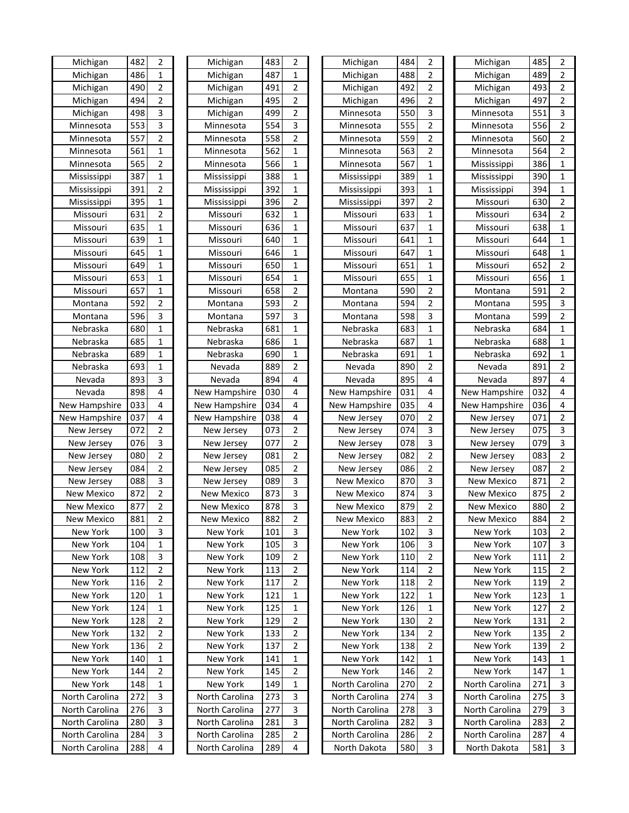| Michigan       | 482 | 2              | Michigan          | 483 | 2                       | Michigan          | 484 | 2              | Michigan          | 485 | 2              |
|----------------|-----|----------------|-------------------|-----|-------------------------|-------------------|-----|----------------|-------------------|-----|----------------|
| Michigan       | 486 | $\mathbf 1$    | Michigan          | 487 | $\mathbf{1}$            | Michigan          | 488 | $\overline{2}$ | Michigan          | 489 | $\overline{2}$ |
| Michigan       | 490 | 2              | Michigan          | 491 | 2                       | Michigan          | 492 | $\overline{2}$ | Michigan          | 493 | $\overline{2}$ |
| Michigan       | 494 | 2              | Michigan          | 495 | 2                       | Michigan          | 496 | $\overline{2}$ | Michigan          | 497 | $\overline{2}$ |
| Michigan       | 498 | 3              | Michigan          | 499 | $\overline{2}$          | Minnesota         | 550 | 3              | Minnesota         | 551 | 3              |
| Minnesota      | 553 | 3              | Minnesota         | 554 | 3                       | Minnesota         | 555 | $\overline{2}$ | Minnesota         | 556 | 2              |
| Minnesota      | 557 | $\overline{2}$ | Minnesota         | 558 | $\overline{2}$          | Minnesota         | 559 | $\overline{2}$ | Minnesota         | 560 | $\overline{2}$ |
| Minnesota      | 561 | $\mathbf{1}$   | Minnesota         | 562 | $\mathbf{1}$            | Minnesota         | 563 | $\overline{2}$ | Minnesota         | 564 | $\overline{2}$ |
| Minnesota      | 565 | $\overline{2}$ | Minnesota         | 566 | $\mathbf 1$             | Minnesota         | 567 | $\mathbf 1$    | Mississippi       | 386 | $\mathbf{1}$   |
| Mississippi    | 387 | 1              | Mississippi       | 388 | 1                       | Mississippi       | 389 | 1              | Mississippi       | 390 | 1              |
| Mississippi    | 391 | $\overline{2}$ | Mississippi       | 392 | 1                       | Mississippi       | 393 | 1              | Mississippi       | 394 | 1              |
| Mississippi    | 395 | 1              | Mississippi       | 396 | 2                       | Mississippi       | 397 | 2              | Missouri          | 630 | $\overline{2}$ |
| Missouri       | 631 | 2              | Missouri          | 632 | 1                       | Missouri          | 633 | 1              | Missouri          | 634 | $\overline{2}$ |
| Missouri       | 635 | 1              | Missouri          | 636 | 1                       | Missouri          | 637 | 1              | Missouri          | 638 | 1              |
| Missouri       | 639 | 1              | Missouri          | 640 | 1                       | Missouri          | 641 | 1              | Missouri          | 644 | $\mathbf{1}$   |
| Missouri       | 645 | $\mathbf{1}$   | Missouri          | 646 | 1                       | Missouri          | 647 | 1              | Missouri          | 648 | 1              |
| Missouri       | 649 | $\mathbf 1$    | Missouri          | 650 | 1                       | Missouri          | 651 | 1              | Missouri          | 652 | $\overline{2}$ |
| Missouri       | 653 | $\mathbf 1$    | Missouri          | 654 | 1                       | Missouri          | 655 | $\mathbf 1$    | Missouri          | 656 | 1              |
| Missouri       | 657 | 1              | Missouri          | 658 | 2                       | Montana           | 590 | 2              | Montana           | 591 | 2              |
| Montana        | 592 | $\overline{2}$ | Montana           | 593 | 2                       | Montana           | 594 | $\overline{2}$ | Montana           | 595 | 3              |
| Montana        | 596 | 3              | Montana           | 597 | 3                       | Montana           | 598 | 3              | Montana           | 599 | $\overline{2}$ |
| Nebraska       | 680 | 1              | Nebraska          | 681 | 1                       | Nebraska          | 683 | 1              | Nebraska          | 684 | $\mathbf{1}$   |
| Nebraska       | 685 | 1              | Nebraska          | 686 | 1                       | Nebraska          | 687 | 1              | Nebraska          | 688 | 1              |
| Nebraska       | 689 | $\mathbf{1}$   | Nebraska          | 690 | 1                       | Nebraska          | 691 | 1              | Nebraska          | 692 | 1              |
| Nebraska       | 693 | $\mathbf{1}$   | Nevada            | 889 | $\overline{2}$          | Nevada            | 890 | $\overline{2}$ | Nevada            | 891 | 2              |
| Nevada         | 893 | 3              | Nevada            | 894 | 4                       | Nevada            | 895 | 4              | Nevada            | 897 | 4              |
| Nevada         | 898 | 4              | New Hampshire     | 030 | 4                       | New Hampshire     | 031 | 4              | New Hampshire     | 032 | 4              |
| New Hampshire  | 033 | 4              | New Hampshire     | 034 | 4                       | New Hampshire     | 035 | 4              | New Hampshire     | 036 | 4              |
| New Hampshire  | 037 | 4              | New Hampshire     | 038 | 4                       | New Jersey        | 070 | 2              | New Jersey        | 071 | $\overline{2}$ |
| New Jersey     | 072 | 2              | New Jersey        | 073 | 2                       | New Jersey        | 074 | 3              | New Jersey        | 075 | 3              |
| New Jersey     | 076 | 3              | New Jersey        | 077 | 2                       | New Jersey        | 078 | 3              | New Jersey        | 079 | 3              |
| New Jersey     | 080 | $\overline{2}$ | New Jersey        | 081 | 2                       | <b>New Jersey</b> | 082 | 2              | New Jersey        | 083 | $\overline{2}$ |
| New Jersey     | 084 | 2              | New Jersey        | 085 | 2                       | New Jersey        | 086 | 2              | New Jersey        | 087 | $\overline{2}$ |
| New Jersey     | 088 | 3              | New Jersey        | 089 | 3                       | New Mexico        | 870 | 3              | <b>New Mexico</b> | 871 | $\overline{2}$ |
| New Mexico     | 872 | 2              | <b>New Mexico</b> | 873 | 3                       | New Mexico        | 874 | 3              | <b>New Mexico</b> | 875 | 2              |
| New Mexico     | 877 | $\overline{2}$ | New Mexico        | 878 | 3                       | New Mexico        | 879 | 2              | New Mexico        | 880 | $\overline{2}$ |
| New Mexico     | 881 | $\overline{2}$ | New Mexico        | 882 | $\overline{\mathbf{c}}$ | New Mexico        | 883 | $\mathbf 2$    | New Mexico        | 884 | $\mathbf 2$    |
| New York       | 100 | 3              | New York          | 101 | 3                       | New York          | 102 | 3              | New York          | 103 | 2              |
| New York       | 104 | 1              | New York          | 105 | 3                       | New York          | 106 | 3              | New York          | 107 | 3              |
| New York       | 108 | 3              | New York          | 109 | 2                       | New York          | 110 | $\overline{2}$ | New York          | 111 | $\overline{2}$ |
| New York       | 112 | 2              | New York          | 113 | 2                       | New York          | 114 | 2              | New York          | 115 | $\overline{2}$ |
| New York       | 116 | $\overline{2}$ | New York          | 117 | 2                       | New York          | 118 | $\overline{2}$ | New York          | 119 | $\overline{2}$ |
| New York       | 120 | 1              | New York          | 121 | 1                       | New York          | 122 | 1              | New York          | 123 | 1              |
| New York       | 124 | 1              | New York          | 125 | 1                       | New York          | 126 | 1              | New York          | 127 | $\overline{2}$ |
| New York       | 128 | 2              | New York          | 129 | 2                       | New York          | 130 | 2              | New York          | 131 | $\overline{2}$ |
| New York       | 132 | 2              | New York          | 133 | 2                       | New York          | 134 | 2              | New York          | 135 | $\overline{2}$ |
| New York       | 136 | 2              | New York          | 137 | 2                       | New York          | 138 | 2              | New York          | 139 | 2              |
| New York       | 140 | 1              | New York          | 141 | 1                       | New York          | 142 | 1              | New York          | 143 | 1              |
| New York       | 144 | 2              | New York          | 145 | 2                       | New York          | 146 | 2              | New York          | 147 | 1              |
| New York       | 148 | 1              | New York          | 149 | 1                       | North Carolina    | 270 | $\overline{2}$ | North Carolina    | 271 | 3              |
| North Carolina | 272 | 3              | North Carolina    | 273 | 3                       | North Carolina    | 274 | 3              | North Carolina    | 275 | 3              |
| North Carolina | 276 | 3              | North Carolina    | 277 | 3                       | North Carolina    | 278 | 3              | North Carolina    | 279 | 3              |
| North Carolina | 280 | 3              | North Carolina    | 281 | 3                       | North Carolina    | 282 | 3              | North Carolina    | 283 | 2              |
| North Carolina | 284 | 3              | North Carolina    | 285 | 2                       | North Carolina    | 286 | 2              | North Carolina    | 287 | 4              |
| North Carolina | 288 | 4              | North Carolina    | 289 | 4                       | North Dakota      | 580 | 3              | North Dakota      | 581 | 3              |
|                |     |                |                   |     |                         |                   |     |                |                   |     |                |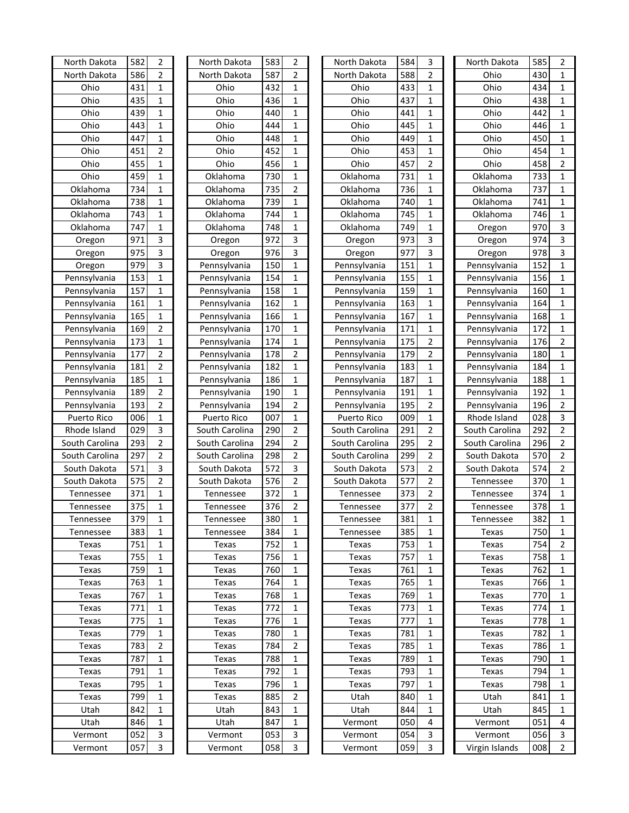| North Dakota                 | 582 | 2              | North Dakota   | 583 | 2              | North Dakota   | 584 | 3              | North Dakota                 | 585 | 2                                |
|------------------------------|-----|----------------|----------------|-----|----------------|----------------|-----|----------------|------------------------------|-----|----------------------------------|
| North Dakota                 | 586 | $\overline{2}$ | North Dakota   | 587 | $\overline{2}$ | North Dakota   | 588 | $\overline{2}$ | Ohio                         | 430 | $\mathbf{1}$                     |
| Ohio                         | 431 | $\mathbf{1}$   | Ohio           | 432 | 1              | Ohio           | 433 | $\mathbf{1}$   | Ohio                         | 434 | $\mathbf{1}$                     |
| Ohio                         | 435 | $\mathbf 1$    | Ohio           | 436 | $\mathbf 1$    | Ohio           | 437 | $\mathbf{1}$   | Ohio                         | 438 | $\mathbf{1}$                     |
| Ohio                         | 439 | $\mathbf 1$    | Ohio           | 440 | 1              | Ohio           | 441 | $\mathbf{1}$   | Ohio                         | 442 | $\mathbf{1}$                     |
| Ohio                         | 443 | $\mathbf 1$    | Ohio           | 444 | 1              | Ohio           | 445 | $\mathbf{1}$   | Ohio                         | 446 | $\mathbf{1}$                     |
| Ohio                         | 447 | $\mathbf 1$    | Ohio           | 448 | 1              | Ohio           | 449 | $\mathbf{1}$   | Ohio                         | 450 | 1                                |
| Ohio                         | 451 | $\overline{2}$ | Ohio           | 452 | 1              | Ohio           | 453 | 1              | Ohio                         | 454 | 1                                |
| Ohio                         | 455 | 1              | Ohio           | 456 | 1              | Ohio           | 457 | 2              | Ohio                         | 458 | $\overline{2}$                   |
| Ohio                         | 459 | 1              | Oklahoma       | 730 | 1              | Oklahoma       | 731 | 1              | Oklahoma                     | 733 | 1                                |
| Oklahoma                     | 734 | $\mathbf 1$    | Oklahoma       | 735 | 2              | Oklahoma       | 736 | 1              | Oklahoma                     | 737 | 1                                |
| Oklahoma                     | 738 | $\mathbf 1$    | Oklahoma       | 739 | 1              | Oklahoma       | 740 | $\mathbf 1$    | Oklahoma                     | 741 | $\mathbf{1}$                     |
| Oklahoma                     | 743 | 1              | Oklahoma       | 744 | 1              | Oklahoma       | 745 | $\mathbf 1$    | Oklahoma                     | 746 | 1                                |
| Oklahoma                     | 747 | 1              | Oklahoma       | 748 | 1              | Oklahoma       | 749 | $\mathbf 1$    | Oregon                       | 970 | 3                                |
| Oregon                       | 971 | 3              | Oregon         | 972 | 3              | Oregon         | 973 | 3              | Oregon                       | 974 | 3                                |
| Oregon                       | 975 | 3              | Oregon         | 976 | 3              | Oregon         | 977 | 3              | Oregon                       | 978 | 3                                |
| Oregon                       | 979 | 3              | Pennsylvania   | 150 | 1              | Pennsylvania   | 151 | $\mathbf 1$    | Pennsylvania                 | 152 | 1                                |
| Pennsylvania                 | 153 | $\mathbf 1$    | Pennsylvania   | 154 | 1              | Pennsylvania   | 155 | $\mathbf 1$    | Pennsylvania                 | 156 | $\mathbf{1}$                     |
| Pennsylvania                 | 157 | $\mathbf{1}$   | Pennsylvania   | 158 | 1              | Pennsylvania   | 159 | $\mathbf{1}$   | Pennsylvania                 | 160 | $\mathbf{1}$                     |
| Pennsylvania                 | 161 | $\mathbf 1$    | Pennsylvania   | 162 | $\mathbf{1}$   | Pennsylvania   | 163 | $\mathbf 1$    | Pennsylvania                 | 164 | $\mathbf{1}$                     |
| Pennsylvania                 | 165 | $\mathbf 1$    | Pennsylvania   | 166 | $\mathbf{1}$   | Pennsylvania   | 167 | $\mathbf 1$    | Pennsylvania                 | 168 | $\mathbf{1}$                     |
| Pennsylvania                 | 169 | $\overline{2}$ | Pennsylvania   | 170 | 1              | Pennsylvania   | 171 | $\mathbf 1$    | Pennsylvania                 | 172 | $\mathbf{1}$                     |
| Pennsylvania                 | 173 | $\mathbf 1$    | Pennsylvania   | 174 | 1              | Pennsylvania   | 175 | $\overline{2}$ | Pennsylvania                 | 176 | $\mathbf 2$                      |
| Pennsylvania                 | 177 | $\mathbf 2$    | Pennsylvania   | 178 | $\overline{2}$ | Pennsylvania   | 179 | $\overline{2}$ | Pennsylvania                 | 180 | 1                                |
| Pennsylvania                 | 181 | $\overline{2}$ | Pennsylvania   | 182 | 1              | Pennsylvania   | 183 | 1              | Pennsylvania                 | 184 | 1                                |
| Pennsylvania                 | 185 | 1              | Pennsylvania   | 186 | 1              | Pennsylvania   | 187 | 1              | Pennsylvania                 | 188 | 1                                |
|                              | 189 | $\overline{2}$ | Pennsylvania   | 190 | 1              | Pennsylvania   | 191 | 1              |                              | 192 | $\mathbf{1}$                     |
| Pennsylvania<br>Pennsylvania | 193 | $\overline{2}$ | Pennsylvania   | 194 | 2              | Pennsylvania   | 195 | $\overline{2}$ | Pennsylvania<br>Pennsylvania | 196 | $\overline{2}$                   |
| Puerto Rico                  | 006 | $\mathbf 1$    | Puerto Rico    | 007 | 1              | Puerto Rico    | 009 | $\mathbf 1$    | Rhode Island                 | 028 | 3                                |
| Rhode Island                 | 029 | 3              | South Carolina | 290 | $\overline{2}$ | South Carolina | 291 | $\overline{2}$ | South Carolina               | 292 | $\mathbf 2$                      |
| South Carolina               | 293 | $\overline{2}$ | South Carolina | 294 | $\overline{2}$ | South Carolina | 295 | $\overline{2}$ | South Carolina               | 296 | $\overline{2}$                   |
| South Carolina               | 297 | $\mathbf 2$    |                | 298 | $\overline{2}$ |                | 299 | $\overline{2}$ |                              | 570 |                                  |
|                              | 571 | 3              | South Carolina | 572 | 3              | South Carolina | 573 | $\overline{2}$ | South Dakota                 | 574 | $\overline{2}$<br>$\overline{2}$ |
| South Dakota                 |     |                | South Dakota   |     |                | South Dakota   | 577 |                | South Dakota                 |     |                                  |
| South Dakota                 | 575 | $\mathbf 2$    | South Dakota   | 576 | $\overline{2}$ | South Dakota   | 373 | $\overline{2}$ | Tennessee                    | 370 | 1                                |
| Tennessee                    | 371 | $\mathbf 1$    | Tennessee      | 372 | 1              | Tennessee      |     | $\overline{2}$ | Tennessee                    | 374 | $\mathbf{1}$                     |
| Tennessee                    | 375 | $\mathbf 1$    | Tennessee      | 376 | 2              | Tennessee      | 377 | $\overline{2}$ | Tennessee                    | 378 | 1                                |
| Tennessee                    | 379 | $\mathbf 1$    | Tennessee      | 380 | $\mathbf{1}$   | Tennessee      | 381 | $\mathbf 1$    | Tennessee                    | 382 | 1                                |
| Tennessee                    | 383 | 1              | Tennessee      | 384 | 1              | Tennessee      | 385 | $\mathbf{1}$   | Texas                        | 750 | 1                                |
| Texas                        | 751 | 1              | Texas          | 752 | 1              | Texas          | 753 | 1              | Texas                        | 754 | 2                                |
| Texas                        | 755 | 1              | Texas          | 756 | 1              | Texas          | 757 | 1              | Texas                        | 758 | 1                                |
| Texas                        | 759 | 1              | Texas          | 760 | 1              | Texas          | 761 | 1              | Texas                        | 762 | 1                                |
| Texas                        | 763 | 1              | Texas          | 764 | 1              | Texas          | 765 | 1              | Texas                        | 766 | 1                                |
| Texas                        | 767 | 1              | Texas          | 768 | 1              | Texas          | 769 | 1              | Texas                        | 770 | 1                                |
| Texas                        | 771 | 1              | Texas          | 772 | 1              | Texas          | 773 | 1              | Texas                        | 774 | 1                                |
| Texas                        | 775 | 1              | Texas          | 776 | 1              | Texas          | 777 | 1              | Texas                        | 778 | 1                                |
| Texas                        | 779 | 1              | Texas          | 780 | 1              | Texas          | 781 | 1              | Texas                        | 782 | 1                                |
| Texas                        | 783 | 2              | Texas          | 784 | 2              | Texas          | 785 | 1              | Texas                        | 786 | 1                                |
| Texas                        | 787 | 1              | Texas          | 788 | 1              | Texas          | 789 | 1              | Texas                        | 790 | 1                                |
| Texas                        | 791 | 1              | Texas          | 792 | 1              | Texas          | 793 | 1              | Texas                        | 794 | 1                                |
| Texas                        | 795 | 1              | Texas          | 796 | 1              | Texas          | 797 | 1              | Texas                        | 798 | 1                                |
| Texas                        | 799 | 1              | Texas          | 885 | 2              | Utah           | 840 | $\mathbf{1}$   | Utah                         | 841 | 1                                |
| Utah                         | 842 | $\mathbf{1}$   | Utah           | 843 | 1              | Utah           | 844 | $\mathbf{1}$   | Utah                         | 845 | 1                                |
| Utah                         | 846 | $\mathbf{1}$   | Utah           | 847 | 1              | Vermont        | 050 | 4              | Vermont                      | 051 | 4                                |
| Vermont                      | 052 | 3              | Vermont        | 053 | 3              | Vermont        | 054 | 3              | Vermont                      | 056 | 3                                |
| Vermont                      | 057 | 3              | Vermont        | 058 | 3              | Vermont        | 059 | 3              | Virgin Islands               | 008 | $\overline{2}$                   |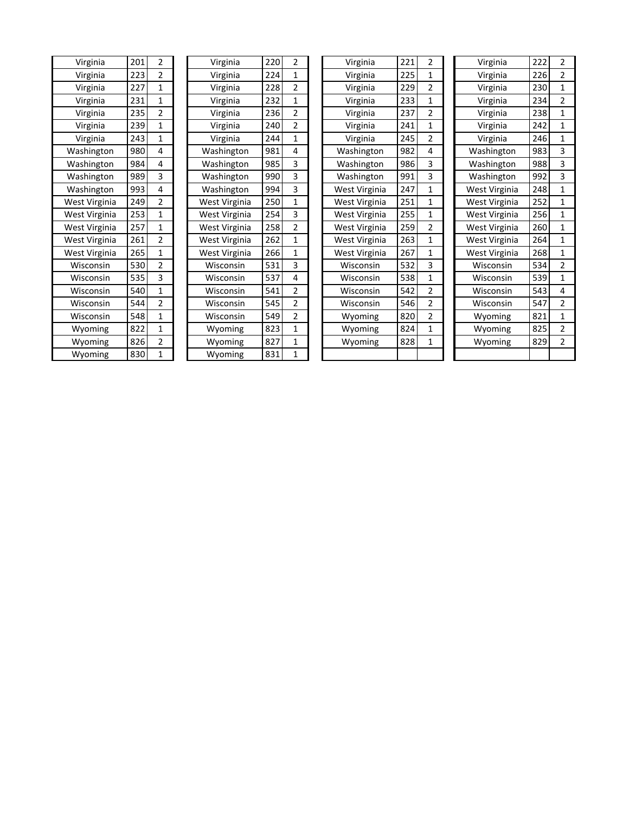| Virginia      | 201 | 2              | Virginia      | 220 | 2 | Virginia      | 221 | 2              | Virginia      | 222 | 2              |
|---------------|-----|----------------|---------------|-----|---|---------------|-----|----------------|---------------|-----|----------------|
| Virginia      | 223 | 2              | Virginia      | 224 | 1 | Virginia      | 225 | 1              | Virginia      | 226 | 2              |
| Virginia      | 227 | 1              | Virginia      | 228 | 2 | Virginia      | 229 | 2              | Virginia      | 230 | 1              |
| Virginia      | 231 | 1              | Virginia      | 232 | 1 | Virginia      | 233 | 1              | Virginia      | 234 | $\overline{2}$ |
| Virginia      | 235 | $\overline{2}$ | Virginia      | 236 | 2 | Virginia      | 237 | $\overline{2}$ | Virginia      | 238 | $\mathbf{1}$   |
| Virginia      | 239 | 1              | Virginia      | 240 | 2 | Virginia      | 241 | $\mathbf{1}$   | Virginia      | 242 | $\mathbf{1}$   |
| Virginia      | 243 | 1              | Virginia      | 244 | 1 | Virginia      | 245 | $\overline{2}$ | Virginia      | 246 | $\mathbf{1}$   |
| Washington    | 980 | 4              | Washington    | 981 | 4 | Washington    | 982 | 4              | Washington    | 983 | 3              |
| Washington    | 984 | 4              | Washington    | 985 | 3 | Washington    | 986 | 3              | Washington    | 988 | 3              |
| Washington    | 989 | 3              | Washington    | 990 | 3 | Washington    | 991 | 3              | Washington    | 992 | 3              |
| Washington    | 993 | 4              | Washington    | 994 | 3 | West Virginia | 247 | 1              | West Virginia | 248 | 1              |
| West Virginia | 249 | $\overline{2}$ | West Virginia | 250 | 1 | West Virginia | 251 | $\mathbf{1}$   | West Virginia | 252 | $\mathbf{1}$   |
| West Virginia | 253 | 1              | West Virginia | 254 | 3 | West Virginia | 255 | 1              | West Virginia | 256 | 1              |
| West Virginia | 257 | 1              | West Virginia | 258 | 2 | West Virginia | 259 | $\overline{2}$ | West Virginia | 260 | 1              |
| West Virginia | 261 | $\overline{2}$ | West Virginia | 262 | 1 | West Virginia | 263 | 1              | West Virginia | 264 | $\mathbf{1}$   |
| West Virginia | 265 | 1              | West Virginia | 266 | 1 | West Virginia | 267 | 1              | West Virginia | 268 | 1              |
| Wisconsin     | 530 | 2              | Wisconsin     | 531 | 3 | Wisconsin     | 532 | 3              | Wisconsin     | 534 | 2              |
| Wisconsin     | 535 | 3              | Wisconsin     | 537 | 4 | Wisconsin     | 538 | $\mathbf{1}$   | Wisconsin     | 539 | 1              |
| Wisconsin     | 540 | 1              | Wisconsin     | 541 | 2 | Wisconsin     | 542 | $\overline{2}$ | Wisconsin     | 543 | 4              |
| Wisconsin     | 544 | 2              | Wisconsin     | 545 | 2 | Wisconsin     | 546 | $\overline{2}$ | Wisconsin     | 547 | 2              |
| Wisconsin     | 548 | 1              | Wisconsin     | 549 | 2 | Wyoming       | 820 | $\overline{2}$ | Wyoming       | 821 | 1              |
| Wyoming       | 822 | $\mathbf{1}$   | Wyoming       | 823 | 1 | Wyoming       | 824 | 1              | Wyoming       | 825 | 2              |
| Wyoming       | 826 | 2              | Wyoming       | 827 | 1 | Wyoming       | 828 | 1              | Wyoming       | 829 | 2              |
| Wyoming       | 830 | 1              | Wyoming       | 831 | 1 |               |     |                |               |     |                |
|               |     |                |               |     |   |               |     |                |               |     |                |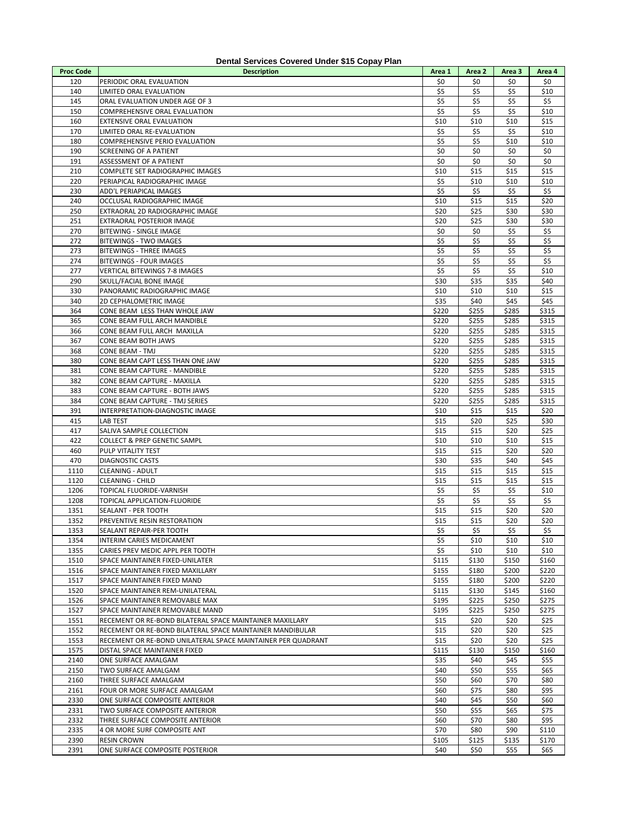| 120<br>\$0<br>\$0<br>\$0<br>\$0<br>PERIODIC ORAL EVALUATION<br>\$5<br>\$5<br>140<br>\$5<br>\$10<br>LIMITED ORAL EVALUATION<br>145<br>\$5<br>\$5<br>\$5<br>\$5<br>ORAL EVALUATION UNDER AGE OF 3<br>\$5<br>150<br>\$5<br>\$5<br>\$10<br>COMPREHENSIVE ORAL EVALUATION<br>\$10<br>\$10<br>\$15<br>160<br>EXTENSIVE ORAL EVALUATION<br>\$10<br>\$5<br>170<br>\$5<br>\$5<br>\$10<br>LIMITED ORAL RE-EVALUATION<br>\$5<br>\$5<br>180<br>COMPREHENSIVE PERIO EVALUATION<br>\$10<br>\$10<br>\$0<br>\$0<br>\$0<br>\$0<br>190<br>SCREENING OF A PATIENT<br>191<br>\$0<br>\$0<br>\$0<br>\$0<br>ASSESSMENT OF A PATIENT<br>210<br>\$10<br>\$15<br>\$15<br>\$15<br>COMPLETE SET RADIOGRAPHIC IMAGES<br>220<br>PERIAPICAL RADIOGRAPHIC IMAGE<br>\$5<br>\$10<br>\$10<br>\$10<br>\$5<br>230<br>\$5<br>\$5<br>\$5<br>ADD'L PERIAPICAL IMAGES<br>\$15<br>\$20<br>240<br>OCCLUSAL RADIOGRAPHIC IMAGE<br>\$10<br>\$15<br>250<br>EXTRAORAL 2D RADIOGRAPHIC IMAGE<br>\$20<br>\$25<br>\$30<br>\$30<br>251<br>\$20<br>\$25<br>\$30<br>\$30<br>EXTRAORAL POSTERIOR IMAGE<br>\$5<br>270<br>BITEWING - SINGLE IMAGE<br>\$0<br>\$0<br>\$5<br>272<br>\$5<br>\$5<br>\$5<br>\$5<br><b>BITEWINGS - TWO IMAGES</b><br>\$5<br>\$5<br>\$5<br>\$5<br>273<br><b>BITEWINGS - THREE IMAGES</b><br>274<br>\$5<br>\$5<br>BITEWINGS - FOUR IMAGES<br>\$5<br>\$5<br>\$5<br>\$5<br>\$5<br>277<br>\$10<br>VERTICAL BITEWINGS 7-8 IMAGES<br>290<br>\$30<br>\$35<br>\$35<br>\$40<br>SKULL/FACIAL BONE IMAGE<br>330<br>\$10<br>\$10<br>\$10<br>\$15<br>PANORAMIC RADIOGRAPHIC IMAGE<br>340<br>2D CEPHALOMETRIC IMAGE<br>\$35<br>\$40<br>\$45<br>\$45<br>364<br>CONE BEAM LESS THAN WHOLE JAW<br>\$220<br>\$255<br>\$285<br>\$315<br>365<br>\$220<br>\$255<br>\$285<br>\$315<br>CONE BEAM FULL ARCH MANDIBLE<br>\$220<br>366<br>CONE BEAM FULL ARCH MAXILLA<br>\$255<br>\$285<br>\$315<br>367<br>CONE BEAM BOTH JAWS<br>\$220<br>\$255<br>\$285<br>\$315<br>368<br>CONE BEAM - TMJ<br>\$220<br>\$255<br>\$285<br>\$315<br>\$285<br>380<br>CONE BEAM CAPT LESS THAN ONE JAW<br>\$220<br>\$255<br>\$315<br>\$220<br>381<br>CONE BEAM CAPTURE - MANDIBLE<br>\$255<br>\$285<br>\$315<br>382<br>\$220<br>\$255<br>\$285<br>\$315<br>CONE BEAM CAPTURE - MAXILLA<br>383<br>CONE BEAM CAPTURE - BOTH JAWS<br>\$220<br>\$255<br>\$285<br>\$315<br>384<br>CONE BEAM CAPTURE - TMJ SERIES<br>\$220<br>\$255<br>\$285<br>\$315<br>391<br>INTERPRETATION-DIAGNOSTIC IMAGE<br>\$10<br>\$15<br>\$15<br>\$20<br>415<br>\$15<br>\$20<br>\$25<br>\$30<br>LAB TEST<br>\$25<br>417<br>SALIVA SAMPLE COLLECTION<br>\$15<br>\$15<br>\$20<br>\$10<br>422<br>\$10<br>\$10<br>\$15<br><b>COLLECT &amp; PREP GENETIC SAMPL</b><br>\$20<br>\$20<br>460<br>PULP VITALITY TEST<br>\$15<br>\$15<br>470<br>\$45<br><b>DIAGNOSTIC CASTS</b><br>\$30<br>\$35<br>\$40<br>1110<br>\$15<br>\$15<br>\$15<br>\$15<br><b>CLEANING - ADULT</b><br>\$15<br>\$15<br>1120<br>\$15<br>\$15<br><b>CLEANING - CHILD</b><br>1206<br>\$5<br>\$5<br>\$5<br>\$10<br>TOPICAL FLUORIDE-VARNISH<br>1208<br>\$5<br>\$5<br>\$5<br>\$5<br>TOPICAL APPLICATION-FLUORIDE<br>\$15<br>\$20<br>\$20<br>1351<br>SEALANT - PER TOOTH<br>\$15<br>1352<br>\$15<br>\$15<br>\$20<br>\$20<br>PREVENTIVE RESIN RESTORATION<br>1353<br>SEALANT REPAIR-PER TOOTH<br>\$5<br>\$5<br>\$5<br>\$5<br>1354<br>\$5<br>\$10<br>\$10<br>\$10<br>INTERIM CARIES MEDICAMENT<br>1355<br>\$5<br>CARIES PREV MEDIC APPL PER TOOTH<br>\$10<br>\$10<br>\$10<br>1510<br>\$115<br>\$130<br>\$150<br>\$160<br>SPACE MAINTAINER FIXED-UNILATER<br>1516<br>\$155<br>\$180<br>\$200<br>\$220<br>SPACE MAINTAINER FIXED MAXILLARY<br>1517<br>SPACE MAINTAINER FIXED MAND<br>\$155<br>\$180<br>\$200<br>\$220<br>1520<br>SPACE MAINTAINER REM-UNILATERAL<br>\$115<br>\$130<br>\$145<br>\$160<br>1526<br>\$195<br>\$225<br>\$250<br>\$275<br>SPACE MAINTAINER REMOVABLE MAX<br>1527<br>\$195<br>\$225<br>\$250<br>SPACE MAINTAINER REMOVABLE MAND<br>\$275<br>1551<br>RECEMENT OR RE-BOND BILATERAL SPACE MAINTAINER MAXILLARY<br>\$15<br>\$20<br>\$20<br>\$25<br>1552<br>\$15<br>\$20<br>\$20<br>RECEMENT OR RE-BOND BILATERAL SPACE MAINTAINER MANDIBULAR<br>\$25<br>1553<br>\$15<br>\$20<br>\$20<br>\$25<br>RECEMENT OR RE-BOND UNILATERAL SPACE MAINTAINER PER QUADRANT<br>1575<br>\$150<br>\$115<br>\$130<br>\$160<br>DISTAL SPACE MAINTAINER FIXED<br>2140<br>\$35<br>\$40<br>\$45<br>\$55<br>ONE SURFACE AMALGAM<br>2150<br>\$40<br>\$50<br>\$55<br>\$65<br>TWO SURFACE AMALGAM<br>2160<br>THREE SURFACE AMALGAM<br>\$50<br>\$60<br>\$70<br>\$80<br>\$60<br>\$75<br>\$80<br>2161<br>\$95<br>FOUR OR MORE SURFACE AMALGAM<br>2330<br>\$45<br>\$50<br>ONE SURFACE COMPOSITE ANTERIOR<br>\$40<br>\$60<br>2331<br>\$55<br>\$65<br>TWO SURFACE COMPOSITE ANTERIOR<br>\$50<br>\$75<br>2332<br>\$60<br>\$70<br>\$80<br>\$95<br>THREE SURFACE COMPOSITE ANTERIOR<br>2335<br>\$90<br>4 OR MORE SURF COMPOSITE ANT<br>\$70<br>\$80<br>\$110<br>2390<br><b>RESIN CROWN</b><br>\$105<br>\$125<br>\$135<br>\$170 |                  | Definal Oct vices Covered Officer \$15 Copay Fight |        |        |        |        |
|-------------------------------------------------------------------------------------------------------------------------------------------------------------------------------------------------------------------------------------------------------------------------------------------------------------------------------------------------------------------------------------------------------------------------------------------------------------------------------------------------------------------------------------------------------------------------------------------------------------------------------------------------------------------------------------------------------------------------------------------------------------------------------------------------------------------------------------------------------------------------------------------------------------------------------------------------------------------------------------------------------------------------------------------------------------------------------------------------------------------------------------------------------------------------------------------------------------------------------------------------------------------------------------------------------------------------------------------------------------------------------------------------------------------------------------------------------------------------------------------------------------------------------------------------------------------------------------------------------------------------------------------------------------------------------------------------------------------------------------------------------------------------------------------------------------------------------------------------------------------------------------------------------------------------------------------------------------------------------------------------------------------------------------------------------------------------------------------------------------------------------------------------------------------------------------------------------------------------------------------------------------------------------------------------------------------------------------------------------------------------------------------------------------------------------------------------------------------------------------------------------------------------------------------------------------------------------------------------------------------------------------------------------------------------------------------------------------------------------------------------------------------------------------------------------------------------------------------------------------------------------------------------------------------------------------------------------------------------------------------------------------------------------------------------------------------------------------------------------------------------------------------------------------------------------------------------------------------------------------------------------------------------------------------------------------------------------------------------------------------------------------------------------------------------------------------------------------------------------------------------------------------------------------------------------------------------------------------------------------------------------------------------------------------------------------------------------------------------------------------------------------------------------------------------------------------------------------------------------------------------------------------------------------------------------------------------------------------------------------------------------------------------------------------------------------------------------------------------------------------------------------------------------------------------------------------------------------------------------------------------------------------------------------------------------------------------------------------------------------------------------------------------------------------------------------------------------------------------------------------------------------------------------------------------------------------------------------------------------------------------------------------------------------------------------------------------------------------------------------------------------------------------------------------------------------------------------------------------------------------------------------------------------------------------------------------------------------|------------------|----------------------------------------------------|--------|--------|--------|--------|
|                                                                                                                                                                                                                                                                                                                                                                                                                                                                                                                                                                                                                                                                                                                                                                                                                                                                                                                                                                                                                                                                                                                                                                                                                                                                                                                                                                                                                                                                                                                                                                                                                                                                                                                                                                                                                                                                                                                                                                                                                                                                                                                                                                                                                                                                                                                                                                                                                                                                                                                                                                                                                                                                                                                                                                                                                                                                                                                                                                                                                                                                                                                                                                                                                                                                                                                                                                                                                                                                                                                                                                                                                                                                                                                                                                                                                                                                                                                                                                                                                                                                                                                                                                                                                                                                                                                                                                                                                                                                                                                                                                                                                                                                                                                                                                                                                                                                                                                                                             | <b>Proc Code</b> | <b>Description</b>                                 | Area 1 | Area 2 | Area 3 | Area 4 |
|                                                                                                                                                                                                                                                                                                                                                                                                                                                                                                                                                                                                                                                                                                                                                                                                                                                                                                                                                                                                                                                                                                                                                                                                                                                                                                                                                                                                                                                                                                                                                                                                                                                                                                                                                                                                                                                                                                                                                                                                                                                                                                                                                                                                                                                                                                                                                                                                                                                                                                                                                                                                                                                                                                                                                                                                                                                                                                                                                                                                                                                                                                                                                                                                                                                                                                                                                                                                                                                                                                                                                                                                                                                                                                                                                                                                                                                                                                                                                                                                                                                                                                                                                                                                                                                                                                                                                                                                                                                                                                                                                                                                                                                                                                                                                                                                                                                                                                                                                             |                  |                                                    |        |        |        |        |
|                                                                                                                                                                                                                                                                                                                                                                                                                                                                                                                                                                                                                                                                                                                                                                                                                                                                                                                                                                                                                                                                                                                                                                                                                                                                                                                                                                                                                                                                                                                                                                                                                                                                                                                                                                                                                                                                                                                                                                                                                                                                                                                                                                                                                                                                                                                                                                                                                                                                                                                                                                                                                                                                                                                                                                                                                                                                                                                                                                                                                                                                                                                                                                                                                                                                                                                                                                                                                                                                                                                                                                                                                                                                                                                                                                                                                                                                                                                                                                                                                                                                                                                                                                                                                                                                                                                                                                                                                                                                                                                                                                                                                                                                                                                                                                                                                                                                                                                                                             |                  |                                                    |        |        |        |        |
|                                                                                                                                                                                                                                                                                                                                                                                                                                                                                                                                                                                                                                                                                                                                                                                                                                                                                                                                                                                                                                                                                                                                                                                                                                                                                                                                                                                                                                                                                                                                                                                                                                                                                                                                                                                                                                                                                                                                                                                                                                                                                                                                                                                                                                                                                                                                                                                                                                                                                                                                                                                                                                                                                                                                                                                                                                                                                                                                                                                                                                                                                                                                                                                                                                                                                                                                                                                                                                                                                                                                                                                                                                                                                                                                                                                                                                                                                                                                                                                                                                                                                                                                                                                                                                                                                                                                                                                                                                                                                                                                                                                                                                                                                                                                                                                                                                                                                                                                                             |                  |                                                    |        |        |        |        |
|                                                                                                                                                                                                                                                                                                                                                                                                                                                                                                                                                                                                                                                                                                                                                                                                                                                                                                                                                                                                                                                                                                                                                                                                                                                                                                                                                                                                                                                                                                                                                                                                                                                                                                                                                                                                                                                                                                                                                                                                                                                                                                                                                                                                                                                                                                                                                                                                                                                                                                                                                                                                                                                                                                                                                                                                                                                                                                                                                                                                                                                                                                                                                                                                                                                                                                                                                                                                                                                                                                                                                                                                                                                                                                                                                                                                                                                                                                                                                                                                                                                                                                                                                                                                                                                                                                                                                                                                                                                                                                                                                                                                                                                                                                                                                                                                                                                                                                                                                             |                  |                                                    |        |        |        |        |
|                                                                                                                                                                                                                                                                                                                                                                                                                                                                                                                                                                                                                                                                                                                                                                                                                                                                                                                                                                                                                                                                                                                                                                                                                                                                                                                                                                                                                                                                                                                                                                                                                                                                                                                                                                                                                                                                                                                                                                                                                                                                                                                                                                                                                                                                                                                                                                                                                                                                                                                                                                                                                                                                                                                                                                                                                                                                                                                                                                                                                                                                                                                                                                                                                                                                                                                                                                                                                                                                                                                                                                                                                                                                                                                                                                                                                                                                                                                                                                                                                                                                                                                                                                                                                                                                                                                                                                                                                                                                                                                                                                                                                                                                                                                                                                                                                                                                                                                                                             |                  |                                                    |        |        |        |        |
|                                                                                                                                                                                                                                                                                                                                                                                                                                                                                                                                                                                                                                                                                                                                                                                                                                                                                                                                                                                                                                                                                                                                                                                                                                                                                                                                                                                                                                                                                                                                                                                                                                                                                                                                                                                                                                                                                                                                                                                                                                                                                                                                                                                                                                                                                                                                                                                                                                                                                                                                                                                                                                                                                                                                                                                                                                                                                                                                                                                                                                                                                                                                                                                                                                                                                                                                                                                                                                                                                                                                                                                                                                                                                                                                                                                                                                                                                                                                                                                                                                                                                                                                                                                                                                                                                                                                                                                                                                                                                                                                                                                                                                                                                                                                                                                                                                                                                                                                                             |                  |                                                    |        |        |        |        |
|                                                                                                                                                                                                                                                                                                                                                                                                                                                                                                                                                                                                                                                                                                                                                                                                                                                                                                                                                                                                                                                                                                                                                                                                                                                                                                                                                                                                                                                                                                                                                                                                                                                                                                                                                                                                                                                                                                                                                                                                                                                                                                                                                                                                                                                                                                                                                                                                                                                                                                                                                                                                                                                                                                                                                                                                                                                                                                                                                                                                                                                                                                                                                                                                                                                                                                                                                                                                                                                                                                                                                                                                                                                                                                                                                                                                                                                                                                                                                                                                                                                                                                                                                                                                                                                                                                                                                                                                                                                                                                                                                                                                                                                                                                                                                                                                                                                                                                                                                             |                  |                                                    |        |        |        |        |
|                                                                                                                                                                                                                                                                                                                                                                                                                                                                                                                                                                                                                                                                                                                                                                                                                                                                                                                                                                                                                                                                                                                                                                                                                                                                                                                                                                                                                                                                                                                                                                                                                                                                                                                                                                                                                                                                                                                                                                                                                                                                                                                                                                                                                                                                                                                                                                                                                                                                                                                                                                                                                                                                                                                                                                                                                                                                                                                                                                                                                                                                                                                                                                                                                                                                                                                                                                                                                                                                                                                                                                                                                                                                                                                                                                                                                                                                                                                                                                                                                                                                                                                                                                                                                                                                                                                                                                                                                                                                                                                                                                                                                                                                                                                                                                                                                                                                                                                                                             |                  |                                                    |        |        |        |        |
|                                                                                                                                                                                                                                                                                                                                                                                                                                                                                                                                                                                                                                                                                                                                                                                                                                                                                                                                                                                                                                                                                                                                                                                                                                                                                                                                                                                                                                                                                                                                                                                                                                                                                                                                                                                                                                                                                                                                                                                                                                                                                                                                                                                                                                                                                                                                                                                                                                                                                                                                                                                                                                                                                                                                                                                                                                                                                                                                                                                                                                                                                                                                                                                                                                                                                                                                                                                                                                                                                                                                                                                                                                                                                                                                                                                                                                                                                                                                                                                                                                                                                                                                                                                                                                                                                                                                                                                                                                                                                                                                                                                                                                                                                                                                                                                                                                                                                                                                                             |                  |                                                    |        |        |        |        |
|                                                                                                                                                                                                                                                                                                                                                                                                                                                                                                                                                                                                                                                                                                                                                                                                                                                                                                                                                                                                                                                                                                                                                                                                                                                                                                                                                                                                                                                                                                                                                                                                                                                                                                                                                                                                                                                                                                                                                                                                                                                                                                                                                                                                                                                                                                                                                                                                                                                                                                                                                                                                                                                                                                                                                                                                                                                                                                                                                                                                                                                                                                                                                                                                                                                                                                                                                                                                                                                                                                                                                                                                                                                                                                                                                                                                                                                                                                                                                                                                                                                                                                                                                                                                                                                                                                                                                                                                                                                                                                                                                                                                                                                                                                                                                                                                                                                                                                                                                             |                  |                                                    |        |        |        |        |
|                                                                                                                                                                                                                                                                                                                                                                                                                                                                                                                                                                                                                                                                                                                                                                                                                                                                                                                                                                                                                                                                                                                                                                                                                                                                                                                                                                                                                                                                                                                                                                                                                                                                                                                                                                                                                                                                                                                                                                                                                                                                                                                                                                                                                                                                                                                                                                                                                                                                                                                                                                                                                                                                                                                                                                                                                                                                                                                                                                                                                                                                                                                                                                                                                                                                                                                                                                                                                                                                                                                                                                                                                                                                                                                                                                                                                                                                                                                                                                                                                                                                                                                                                                                                                                                                                                                                                                                                                                                                                                                                                                                                                                                                                                                                                                                                                                                                                                                                                             |                  |                                                    |        |        |        |        |
|                                                                                                                                                                                                                                                                                                                                                                                                                                                                                                                                                                                                                                                                                                                                                                                                                                                                                                                                                                                                                                                                                                                                                                                                                                                                                                                                                                                                                                                                                                                                                                                                                                                                                                                                                                                                                                                                                                                                                                                                                                                                                                                                                                                                                                                                                                                                                                                                                                                                                                                                                                                                                                                                                                                                                                                                                                                                                                                                                                                                                                                                                                                                                                                                                                                                                                                                                                                                                                                                                                                                                                                                                                                                                                                                                                                                                                                                                                                                                                                                                                                                                                                                                                                                                                                                                                                                                                                                                                                                                                                                                                                                                                                                                                                                                                                                                                                                                                                                                             |                  |                                                    |        |        |        |        |
|                                                                                                                                                                                                                                                                                                                                                                                                                                                                                                                                                                                                                                                                                                                                                                                                                                                                                                                                                                                                                                                                                                                                                                                                                                                                                                                                                                                                                                                                                                                                                                                                                                                                                                                                                                                                                                                                                                                                                                                                                                                                                                                                                                                                                                                                                                                                                                                                                                                                                                                                                                                                                                                                                                                                                                                                                                                                                                                                                                                                                                                                                                                                                                                                                                                                                                                                                                                                                                                                                                                                                                                                                                                                                                                                                                                                                                                                                                                                                                                                                                                                                                                                                                                                                                                                                                                                                                                                                                                                                                                                                                                                                                                                                                                                                                                                                                                                                                                                                             |                  |                                                    |        |        |        |        |
|                                                                                                                                                                                                                                                                                                                                                                                                                                                                                                                                                                                                                                                                                                                                                                                                                                                                                                                                                                                                                                                                                                                                                                                                                                                                                                                                                                                                                                                                                                                                                                                                                                                                                                                                                                                                                                                                                                                                                                                                                                                                                                                                                                                                                                                                                                                                                                                                                                                                                                                                                                                                                                                                                                                                                                                                                                                                                                                                                                                                                                                                                                                                                                                                                                                                                                                                                                                                                                                                                                                                                                                                                                                                                                                                                                                                                                                                                                                                                                                                                                                                                                                                                                                                                                                                                                                                                                                                                                                                                                                                                                                                                                                                                                                                                                                                                                                                                                                                                             |                  |                                                    |        |        |        |        |
|                                                                                                                                                                                                                                                                                                                                                                                                                                                                                                                                                                                                                                                                                                                                                                                                                                                                                                                                                                                                                                                                                                                                                                                                                                                                                                                                                                                                                                                                                                                                                                                                                                                                                                                                                                                                                                                                                                                                                                                                                                                                                                                                                                                                                                                                                                                                                                                                                                                                                                                                                                                                                                                                                                                                                                                                                                                                                                                                                                                                                                                                                                                                                                                                                                                                                                                                                                                                                                                                                                                                                                                                                                                                                                                                                                                                                                                                                                                                                                                                                                                                                                                                                                                                                                                                                                                                                                                                                                                                                                                                                                                                                                                                                                                                                                                                                                                                                                                                                             |                  |                                                    |        |        |        |        |
|                                                                                                                                                                                                                                                                                                                                                                                                                                                                                                                                                                                                                                                                                                                                                                                                                                                                                                                                                                                                                                                                                                                                                                                                                                                                                                                                                                                                                                                                                                                                                                                                                                                                                                                                                                                                                                                                                                                                                                                                                                                                                                                                                                                                                                                                                                                                                                                                                                                                                                                                                                                                                                                                                                                                                                                                                                                                                                                                                                                                                                                                                                                                                                                                                                                                                                                                                                                                                                                                                                                                                                                                                                                                                                                                                                                                                                                                                                                                                                                                                                                                                                                                                                                                                                                                                                                                                                                                                                                                                                                                                                                                                                                                                                                                                                                                                                                                                                                                                             |                  |                                                    |        |        |        |        |
|                                                                                                                                                                                                                                                                                                                                                                                                                                                                                                                                                                                                                                                                                                                                                                                                                                                                                                                                                                                                                                                                                                                                                                                                                                                                                                                                                                                                                                                                                                                                                                                                                                                                                                                                                                                                                                                                                                                                                                                                                                                                                                                                                                                                                                                                                                                                                                                                                                                                                                                                                                                                                                                                                                                                                                                                                                                                                                                                                                                                                                                                                                                                                                                                                                                                                                                                                                                                                                                                                                                                                                                                                                                                                                                                                                                                                                                                                                                                                                                                                                                                                                                                                                                                                                                                                                                                                                                                                                                                                                                                                                                                                                                                                                                                                                                                                                                                                                                                                             |                  |                                                    |        |        |        |        |
|                                                                                                                                                                                                                                                                                                                                                                                                                                                                                                                                                                                                                                                                                                                                                                                                                                                                                                                                                                                                                                                                                                                                                                                                                                                                                                                                                                                                                                                                                                                                                                                                                                                                                                                                                                                                                                                                                                                                                                                                                                                                                                                                                                                                                                                                                                                                                                                                                                                                                                                                                                                                                                                                                                                                                                                                                                                                                                                                                                                                                                                                                                                                                                                                                                                                                                                                                                                                                                                                                                                                                                                                                                                                                                                                                                                                                                                                                                                                                                                                                                                                                                                                                                                                                                                                                                                                                                                                                                                                                                                                                                                                                                                                                                                                                                                                                                                                                                                                                             |                  |                                                    |        |        |        |        |
|                                                                                                                                                                                                                                                                                                                                                                                                                                                                                                                                                                                                                                                                                                                                                                                                                                                                                                                                                                                                                                                                                                                                                                                                                                                                                                                                                                                                                                                                                                                                                                                                                                                                                                                                                                                                                                                                                                                                                                                                                                                                                                                                                                                                                                                                                                                                                                                                                                                                                                                                                                                                                                                                                                                                                                                                                                                                                                                                                                                                                                                                                                                                                                                                                                                                                                                                                                                                                                                                                                                                                                                                                                                                                                                                                                                                                                                                                                                                                                                                                                                                                                                                                                                                                                                                                                                                                                                                                                                                                                                                                                                                                                                                                                                                                                                                                                                                                                                                                             |                  |                                                    |        |        |        |        |
|                                                                                                                                                                                                                                                                                                                                                                                                                                                                                                                                                                                                                                                                                                                                                                                                                                                                                                                                                                                                                                                                                                                                                                                                                                                                                                                                                                                                                                                                                                                                                                                                                                                                                                                                                                                                                                                                                                                                                                                                                                                                                                                                                                                                                                                                                                                                                                                                                                                                                                                                                                                                                                                                                                                                                                                                                                                                                                                                                                                                                                                                                                                                                                                                                                                                                                                                                                                                                                                                                                                                                                                                                                                                                                                                                                                                                                                                                                                                                                                                                                                                                                                                                                                                                                                                                                                                                                                                                                                                                                                                                                                                                                                                                                                                                                                                                                                                                                                                                             |                  |                                                    |        |        |        |        |
|                                                                                                                                                                                                                                                                                                                                                                                                                                                                                                                                                                                                                                                                                                                                                                                                                                                                                                                                                                                                                                                                                                                                                                                                                                                                                                                                                                                                                                                                                                                                                                                                                                                                                                                                                                                                                                                                                                                                                                                                                                                                                                                                                                                                                                                                                                                                                                                                                                                                                                                                                                                                                                                                                                                                                                                                                                                                                                                                                                                                                                                                                                                                                                                                                                                                                                                                                                                                                                                                                                                                                                                                                                                                                                                                                                                                                                                                                                                                                                                                                                                                                                                                                                                                                                                                                                                                                                                                                                                                                                                                                                                                                                                                                                                                                                                                                                                                                                                                                             |                  |                                                    |        |        |        |        |
|                                                                                                                                                                                                                                                                                                                                                                                                                                                                                                                                                                                                                                                                                                                                                                                                                                                                                                                                                                                                                                                                                                                                                                                                                                                                                                                                                                                                                                                                                                                                                                                                                                                                                                                                                                                                                                                                                                                                                                                                                                                                                                                                                                                                                                                                                                                                                                                                                                                                                                                                                                                                                                                                                                                                                                                                                                                                                                                                                                                                                                                                                                                                                                                                                                                                                                                                                                                                                                                                                                                                                                                                                                                                                                                                                                                                                                                                                                                                                                                                                                                                                                                                                                                                                                                                                                                                                                                                                                                                                                                                                                                                                                                                                                                                                                                                                                                                                                                                                             |                  |                                                    |        |        |        |        |
|                                                                                                                                                                                                                                                                                                                                                                                                                                                                                                                                                                                                                                                                                                                                                                                                                                                                                                                                                                                                                                                                                                                                                                                                                                                                                                                                                                                                                                                                                                                                                                                                                                                                                                                                                                                                                                                                                                                                                                                                                                                                                                                                                                                                                                                                                                                                                                                                                                                                                                                                                                                                                                                                                                                                                                                                                                                                                                                                                                                                                                                                                                                                                                                                                                                                                                                                                                                                                                                                                                                                                                                                                                                                                                                                                                                                                                                                                                                                                                                                                                                                                                                                                                                                                                                                                                                                                                                                                                                                                                                                                                                                                                                                                                                                                                                                                                                                                                                                                             |                  |                                                    |        |        |        |        |
|                                                                                                                                                                                                                                                                                                                                                                                                                                                                                                                                                                                                                                                                                                                                                                                                                                                                                                                                                                                                                                                                                                                                                                                                                                                                                                                                                                                                                                                                                                                                                                                                                                                                                                                                                                                                                                                                                                                                                                                                                                                                                                                                                                                                                                                                                                                                                                                                                                                                                                                                                                                                                                                                                                                                                                                                                                                                                                                                                                                                                                                                                                                                                                                                                                                                                                                                                                                                                                                                                                                                                                                                                                                                                                                                                                                                                                                                                                                                                                                                                                                                                                                                                                                                                                                                                                                                                                                                                                                                                                                                                                                                                                                                                                                                                                                                                                                                                                                                                             |                  |                                                    |        |        |        |        |
|                                                                                                                                                                                                                                                                                                                                                                                                                                                                                                                                                                                                                                                                                                                                                                                                                                                                                                                                                                                                                                                                                                                                                                                                                                                                                                                                                                                                                                                                                                                                                                                                                                                                                                                                                                                                                                                                                                                                                                                                                                                                                                                                                                                                                                                                                                                                                                                                                                                                                                                                                                                                                                                                                                                                                                                                                                                                                                                                                                                                                                                                                                                                                                                                                                                                                                                                                                                                                                                                                                                                                                                                                                                                                                                                                                                                                                                                                                                                                                                                                                                                                                                                                                                                                                                                                                                                                                                                                                                                                                                                                                                                                                                                                                                                                                                                                                                                                                                                                             |                  |                                                    |        |        |        |        |
|                                                                                                                                                                                                                                                                                                                                                                                                                                                                                                                                                                                                                                                                                                                                                                                                                                                                                                                                                                                                                                                                                                                                                                                                                                                                                                                                                                                                                                                                                                                                                                                                                                                                                                                                                                                                                                                                                                                                                                                                                                                                                                                                                                                                                                                                                                                                                                                                                                                                                                                                                                                                                                                                                                                                                                                                                                                                                                                                                                                                                                                                                                                                                                                                                                                                                                                                                                                                                                                                                                                                                                                                                                                                                                                                                                                                                                                                                                                                                                                                                                                                                                                                                                                                                                                                                                                                                                                                                                                                                                                                                                                                                                                                                                                                                                                                                                                                                                                                                             |                  |                                                    |        |        |        |        |
|                                                                                                                                                                                                                                                                                                                                                                                                                                                                                                                                                                                                                                                                                                                                                                                                                                                                                                                                                                                                                                                                                                                                                                                                                                                                                                                                                                                                                                                                                                                                                                                                                                                                                                                                                                                                                                                                                                                                                                                                                                                                                                                                                                                                                                                                                                                                                                                                                                                                                                                                                                                                                                                                                                                                                                                                                                                                                                                                                                                                                                                                                                                                                                                                                                                                                                                                                                                                                                                                                                                                                                                                                                                                                                                                                                                                                                                                                                                                                                                                                                                                                                                                                                                                                                                                                                                                                                                                                                                                                                                                                                                                                                                                                                                                                                                                                                                                                                                                                             |                  |                                                    |        |        |        |        |
|                                                                                                                                                                                                                                                                                                                                                                                                                                                                                                                                                                                                                                                                                                                                                                                                                                                                                                                                                                                                                                                                                                                                                                                                                                                                                                                                                                                                                                                                                                                                                                                                                                                                                                                                                                                                                                                                                                                                                                                                                                                                                                                                                                                                                                                                                                                                                                                                                                                                                                                                                                                                                                                                                                                                                                                                                                                                                                                                                                                                                                                                                                                                                                                                                                                                                                                                                                                                                                                                                                                                                                                                                                                                                                                                                                                                                                                                                                                                                                                                                                                                                                                                                                                                                                                                                                                                                                                                                                                                                                                                                                                                                                                                                                                                                                                                                                                                                                                                                             |                  |                                                    |        |        |        |        |
|                                                                                                                                                                                                                                                                                                                                                                                                                                                                                                                                                                                                                                                                                                                                                                                                                                                                                                                                                                                                                                                                                                                                                                                                                                                                                                                                                                                                                                                                                                                                                                                                                                                                                                                                                                                                                                                                                                                                                                                                                                                                                                                                                                                                                                                                                                                                                                                                                                                                                                                                                                                                                                                                                                                                                                                                                                                                                                                                                                                                                                                                                                                                                                                                                                                                                                                                                                                                                                                                                                                                                                                                                                                                                                                                                                                                                                                                                                                                                                                                                                                                                                                                                                                                                                                                                                                                                                                                                                                                                                                                                                                                                                                                                                                                                                                                                                                                                                                                                             |                  |                                                    |        |        |        |        |
|                                                                                                                                                                                                                                                                                                                                                                                                                                                                                                                                                                                                                                                                                                                                                                                                                                                                                                                                                                                                                                                                                                                                                                                                                                                                                                                                                                                                                                                                                                                                                                                                                                                                                                                                                                                                                                                                                                                                                                                                                                                                                                                                                                                                                                                                                                                                                                                                                                                                                                                                                                                                                                                                                                                                                                                                                                                                                                                                                                                                                                                                                                                                                                                                                                                                                                                                                                                                                                                                                                                                                                                                                                                                                                                                                                                                                                                                                                                                                                                                                                                                                                                                                                                                                                                                                                                                                                                                                                                                                                                                                                                                                                                                                                                                                                                                                                                                                                                                                             |                  |                                                    |        |        |        |        |
|                                                                                                                                                                                                                                                                                                                                                                                                                                                                                                                                                                                                                                                                                                                                                                                                                                                                                                                                                                                                                                                                                                                                                                                                                                                                                                                                                                                                                                                                                                                                                                                                                                                                                                                                                                                                                                                                                                                                                                                                                                                                                                                                                                                                                                                                                                                                                                                                                                                                                                                                                                                                                                                                                                                                                                                                                                                                                                                                                                                                                                                                                                                                                                                                                                                                                                                                                                                                                                                                                                                                                                                                                                                                                                                                                                                                                                                                                                                                                                                                                                                                                                                                                                                                                                                                                                                                                                                                                                                                                                                                                                                                                                                                                                                                                                                                                                                                                                                                                             |                  |                                                    |        |        |        |        |
|                                                                                                                                                                                                                                                                                                                                                                                                                                                                                                                                                                                                                                                                                                                                                                                                                                                                                                                                                                                                                                                                                                                                                                                                                                                                                                                                                                                                                                                                                                                                                                                                                                                                                                                                                                                                                                                                                                                                                                                                                                                                                                                                                                                                                                                                                                                                                                                                                                                                                                                                                                                                                                                                                                                                                                                                                                                                                                                                                                                                                                                                                                                                                                                                                                                                                                                                                                                                                                                                                                                                                                                                                                                                                                                                                                                                                                                                                                                                                                                                                                                                                                                                                                                                                                                                                                                                                                                                                                                                                                                                                                                                                                                                                                                                                                                                                                                                                                                                                             |                  |                                                    |        |        |        |        |
|                                                                                                                                                                                                                                                                                                                                                                                                                                                                                                                                                                                                                                                                                                                                                                                                                                                                                                                                                                                                                                                                                                                                                                                                                                                                                                                                                                                                                                                                                                                                                                                                                                                                                                                                                                                                                                                                                                                                                                                                                                                                                                                                                                                                                                                                                                                                                                                                                                                                                                                                                                                                                                                                                                                                                                                                                                                                                                                                                                                                                                                                                                                                                                                                                                                                                                                                                                                                                                                                                                                                                                                                                                                                                                                                                                                                                                                                                                                                                                                                                                                                                                                                                                                                                                                                                                                                                                                                                                                                                                                                                                                                                                                                                                                                                                                                                                                                                                                                                             |                  |                                                    |        |        |        |        |
|                                                                                                                                                                                                                                                                                                                                                                                                                                                                                                                                                                                                                                                                                                                                                                                                                                                                                                                                                                                                                                                                                                                                                                                                                                                                                                                                                                                                                                                                                                                                                                                                                                                                                                                                                                                                                                                                                                                                                                                                                                                                                                                                                                                                                                                                                                                                                                                                                                                                                                                                                                                                                                                                                                                                                                                                                                                                                                                                                                                                                                                                                                                                                                                                                                                                                                                                                                                                                                                                                                                                                                                                                                                                                                                                                                                                                                                                                                                                                                                                                                                                                                                                                                                                                                                                                                                                                                                                                                                                                                                                                                                                                                                                                                                                                                                                                                                                                                                                                             |                  |                                                    |        |        |        |        |
|                                                                                                                                                                                                                                                                                                                                                                                                                                                                                                                                                                                                                                                                                                                                                                                                                                                                                                                                                                                                                                                                                                                                                                                                                                                                                                                                                                                                                                                                                                                                                                                                                                                                                                                                                                                                                                                                                                                                                                                                                                                                                                                                                                                                                                                                                                                                                                                                                                                                                                                                                                                                                                                                                                                                                                                                                                                                                                                                                                                                                                                                                                                                                                                                                                                                                                                                                                                                                                                                                                                                                                                                                                                                                                                                                                                                                                                                                                                                                                                                                                                                                                                                                                                                                                                                                                                                                                                                                                                                                                                                                                                                                                                                                                                                                                                                                                                                                                                                                             |                  |                                                    |        |        |        |        |
|                                                                                                                                                                                                                                                                                                                                                                                                                                                                                                                                                                                                                                                                                                                                                                                                                                                                                                                                                                                                                                                                                                                                                                                                                                                                                                                                                                                                                                                                                                                                                                                                                                                                                                                                                                                                                                                                                                                                                                                                                                                                                                                                                                                                                                                                                                                                                                                                                                                                                                                                                                                                                                                                                                                                                                                                                                                                                                                                                                                                                                                                                                                                                                                                                                                                                                                                                                                                                                                                                                                                                                                                                                                                                                                                                                                                                                                                                                                                                                                                                                                                                                                                                                                                                                                                                                                                                                                                                                                                                                                                                                                                                                                                                                                                                                                                                                                                                                                                                             |                  |                                                    |        |        |        |        |
|                                                                                                                                                                                                                                                                                                                                                                                                                                                                                                                                                                                                                                                                                                                                                                                                                                                                                                                                                                                                                                                                                                                                                                                                                                                                                                                                                                                                                                                                                                                                                                                                                                                                                                                                                                                                                                                                                                                                                                                                                                                                                                                                                                                                                                                                                                                                                                                                                                                                                                                                                                                                                                                                                                                                                                                                                                                                                                                                                                                                                                                                                                                                                                                                                                                                                                                                                                                                                                                                                                                                                                                                                                                                                                                                                                                                                                                                                                                                                                                                                                                                                                                                                                                                                                                                                                                                                                                                                                                                                                                                                                                                                                                                                                                                                                                                                                                                                                                                                             |                  |                                                    |        |        |        |        |
|                                                                                                                                                                                                                                                                                                                                                                                                                                                                                                                                                                                                                                                                                                                                                                                                                                                                                                                                                                                                                                                                                                                                                                                                                                                                                                                                                                                                                                                                                                                                                                                                                                                                                                                                                                                                                                                                                                                                                                                                                                                                                                                                                                                                                                                                                                                                                                                                                                                                                                                                                                                                                                                                                                                                                                                                                                                                                                                                                                                                                                                                                                                                                                                                                                                                                                                                                                                                                                                                                                                                                                                                                                                                                                                                                                                                                                                                                                                                                                                                                                                                                                                                                                                                                                                                                                                                                                                                                                                                                                                                                                                                                                                                                                                                                                                                                                                                                                                                                             |                  |                                                    |        |        |        |        |
|                                                                                                                                                                                                                                                                                                                                                                                                                                                                                                                                                                                                                                                                                                                                                                                                                                                                                                                                                                                                                                                                                                                                                                                                                                                                                                                                                                                                                                                                                                                                                                                                                                                                                                                                                                                                                                                                                                                                                                                                                                                                                                                                                                                                                                                                                                                                                                                                                                                                                                                                                                                                                                                                                                                                                                                                                                                                                                                                                                                                                                                                                                                                                                                                                                                                                                                                                                                                                                                                                                                                                                                                                                                                                                                                                                                                                                                                                                                                                                                                                                                                                                                                                                                                                                                                                                                                                                                                                                                                                                                                                                                                                                                                                                                                                                                                                                                                                                                                                             |                  |                                                    |        |        |        |        |
|                                                                                                                                                                                                                                                                                                                                                                                                                                                                                                                                                                                                                                                                                                                                                                                                                                                                                                                                                                                                                                                                                                                                                                                                                                                                                                                                                                                                                                                                                                                                                                                                                                                                                                                                                                                                                                                                                                                                                                                                                                                                                                                                                                                                                                                                                                                                                                                                                                                                                                                                                                                                                                                                                                                                                                                                                                                                                                                                                                                                                                                                                                                                                                                                                                                                                                                                                                                                                                                                                                                                                                                                                                                                                                                                                                                                                                                                                                                                                                                                                                                                                                                                                                                                                                                                                                                                                                                                                                                                                                                                                                                                                                                                                                                                                                                                                                                                                                                                                             |                  |                                                    |        |        |        |        |
|                                                                                                                                                                                                                                                                                                                                                                                                                                                                                                                                                                                                                                                                                                                                                                                                                                                                                                                                                                                                                                                                                                                                                                                                                                                                                                                                                                                                                                                                                                                                                                                                                                                                                                                                                                                                                                                                                                                                                                                                                                                                                                                                                                                                                                                                                                                                                                                                                                                                                                                                                                                                                                                                                                                                                                                                                                                                                                                                                                                                                                                                                                                                                                                                                                                                                                                                                                                                                                                                                                                                                                                                                                                                                                                                                                                                                                                                                                                                                                                                                                                                                                                                                                                                                                                                                                                                                                                                                                                                                                                                                                                                                                                                                                                                                                                                                                                                                                                                                             |                  |                                                    |        |        |        |        |
|                                                                                                                                                                                                                                                                                                                                                                                                                                                                                                                                                                                                                                                                                                                                                                                                                                                                                                                                                                                                                                                                                                                                                                                                                                                                                                                                                                                                                                                                                                                                                                                                                                                                                                                                                                                                                                                                                                                                                                                                                                                                                                                                                                                                                                                                                                                                                                                                                                                                                                                                                                                                                                                                                                                                                                                                                                                                                                                                                                                                                                                                                                                                                                                                                                                                                                                                                                                                                                                                                                                                                                                                                                                                                                                                                                                                                                                                                                                                                                                                                                                                                                                                                                                                                                                                                                                                                                                                                                                                                                                                                                                                                                                                                                                                                                                                                                                                                                                                                             |                  |                                                    |        |        |        |        |
|                                                                                                                                                                                                                                                                                                                                                                                                                                                                                                                                                                                                                                                                                                                                                                                                                                                                                                                                                                                                                                                                                                                                                                                                                                                                                                                                                                                                                                                                                                                                                                                                                                                                                                                                                                                                                                                                                                                                                                                                                                                                                                                                                                                                                                                                                                                                                                                                                                                                                                                                                                                                                                                                                                                                                                                                                                                                                                                                                                                                                                                                                                                                                                                                                                                                                                                                                                                                                                                                                                                                                                                                                                                                                                                                                                                                                                                                                                                                                                                                                                                                                                                                                                                                                                                                                                                                                                                                                                                                                                                                                                                                                                                                                                                                                                                                                                                                                                                                                             |                  |                                                    |        |        |        |        |
|                                                                                                                                                                                                                                                                                                                                                                                                                                                                                                                                                                                                                                                                                                                                                                                                                                                                                                                                                                                                                                                                                                                                                                                                                                                                                                                                                                                                                                                                                                                                                                                                                                                                                                                                                                                                                                                                                                                                                                                                                                                                                                                                                                                                                                                                                                                                                                                                                                                                                                                                                                                                                                                                                                                                                                                                                                                                                                                                                                                                                                                                                                                                                                                                                                                                                                                                                                                                                                                                                                                                                                                                                                                                                                                                                                                                                                                                                                                                                                                                                                                                                                                                                                                                                                                                                                                                                                                                                                                                                                                                                                                                                                                                                                                                                                                                                                                                                                                                                             |                  |                                                    |        |        |        |        |
|                                                                                                                                                                                                                                                                                                                                                                                                                                                                                                                                                                                                                                                                                                                                                                                                                                                                                                                                                                                                                                                                                                                                                                                                                                                                                                                                                                                                                                                                                                                                                                                                                                                                                                                                                                                                                                                                                                                                                                                                                                                                                                                                                                                                                                                                                                                                                                                                                                                                                                                                                                                                                                                                                                                                                                                                                                                                                                                                                                                                                                                                                                                                                                                                                                                                                                                                                                                                                                                                                                                                                                                                                                                                                                                                                                                                                                                                                                                                                                                                                                                                                                                                                                                                                                                                                                                                                                                                                                                                                                                                                                                                                                                                                                                                                                                                                                                                                                                                                             |                  |                                                    |        |        |        |        |
|                                                                                                                                                                                                                                                                                                                                                                                                                                                                                                                                                                                                                                                                                                                                                                                                                                                                                                                                                                                                                                                                                                                                                                                                                                                                                                                                                                                                                                                                                                                                                                                                                                                                                                                                                                                                                                                                                                                                                                                                                                                                                                                                                                                                                                                                                                                                                                                                                                                                                                                                                                                                                                                                                                                                                                                                                                                                                                                                                                                                                                                                                                                                                                                                                                                                                                                                                                                                                                                                                                                                                                                                                                                                                                                                                                                                                                                                                                                                                                                                                                                                                                                                                                                                                                                                                                                                                                                                                                                                                                                                                                                                                                                                                                                                                                                                                                                                                                                                                             |                  |                                                    |        |        |        |        |
|                                                                                                                                                                                                                                                                                                                                                                                                                                                                                                                                                                                                                                                                                                                                                                                                                                                                                                                                                                                                                                                                                                                                                                                                                                                                                                                                                                                                                                                                                                                                                                                                                                                                                                                                                                                                                                                                                                                                                                                                                                                                                                                                                                                                                                                                                                                                                                                                                                                                                                                                                                                                                                                                                                                                                                                                                                                                                                                                                                                                                                                                                                                                                                                                                                                                                                                                                                                                                                                                                                                                                                                                                                                                                                                                                                                                                                                                                                                                                                                                                                                                                                                                                                                                                                                                                                                                                                                                                                                                                                                                                                                                                                                                                                                                                                                                                                                                                                                                                             |                  |                                                    |        |        |        |        |
|                                                                                                                                                                                                                                                                                                                                                                                                                                                                                                                                                                                                                                                                                                                                                                                                                                                                                                                                                                                                                                                                                                                                                                                                                                                                                                                                                                                                                                                                                                                                                                                                                                                                                                                                                                                                                                                                                                                                                                                                                                                                                                                                                                                                                                                                                                                                                                                                                                                                                                                                                                                                                                                                                                                                                                                                                                                                                                                                                                                                                                                                                                                                                                                                                                                                                                                                                                                                                                                                                                                                                                                                                                                                                                                                                                                                                                                                                                                                                                                                                                                                                                                                                                                                                                                                                                                                                                                                                                                                                                                                                                                                                                                                                                                                                                                                                                                                                                                                                             |                  |                                                    |        |        |        |        |
|                                                                                                                                                                                                                                                                                                                                                                                                                                                                                                                                                                                                                                                                                                                                                                                                                                                                                                                                                                                                                                                                                                                                                                                                                                                                                                                                                                                                                                                                                                                                                                                                                                                                                                                                                                                                                                                                                                                                                                                                                                                                                                                                                                                                                                                                                                                                                                                                                                                                                                                                                                                                                                                                                                                                                                                                                                                                                                                                                                                                                                                                                                                                                                                                                                                                                                                                                                                                                                                                                                                                                                                                                                                                                                                                                                                                                                                                                                                                                                                                                                                                                                                                                                                                                                                                                                                                                                                                                                                                                                                                                                                                                                                                                                                                                                                                                                                                                                                                                             |                  |                                                    |        |        |        |        |
|                                                                                                                                                                                                                                                                                                                                                                                                                                                                                                                                                                                                                                                                                                                                                                                                                                                                                                                                                                                                                                                                                                                                                                                                                                                                                                                                                                                                                                                                                                                                                                                                                                                                                                                                                                                                                                                                                                                                                                                                                                                                                                                                                                                                                                                                                                                                                                                                                                                                                                                                                                                                                                                                                                                                                                                                                                                                                                                                                                                                                                                                                                                                                                                                                                                                                                                                                                                                                                                                                                                                                                                                                                                                                                                                                                                                                                                                                                                                                                                                                                                                                                                                                                                                                                                                                                                                                                                                                                                                                                                                                                                                                                                                                                                                                                                                                                                                                                                                                             |                  |                                                    |        |        |        |        |
|                                                                                                                                                                                                                                                                                                                                                                                                                                                                                                                                                                                                                                                                                                                                                                                                                                                                                                                                                                                                                                                                                                                                                                                                                                                                                                                                                                                                                                                                                                                                                                                                                                                                                                                                                                                                                                                                                                                                                                                                                                                                                                                                                                                                                                                                                                                                                                                                                                                                                                                                                                                                                                                                                                                                                                                                                                                                                                                                                                                                                                                                                                                                                                                                                                                                                                                                                                                                                                                                                                                                                                                                                                                                                                                                                                                                                                                                                                                                                                                                                                                                                                                                                                                                                                                                                                                                                                                                                                                                                                                                                                                                                                                                                                                                                                                                                                                                                                                                                             |                  |                                                    |        |        |        |        |
|                                                                                                                                                                                                                                                                                                                                                                                                                                                                                                                                                                                                                                                                                                                                                                                                                                                                                                                                                                                                                                                                                                                                                                                                                                                                                                                                                                                                                                                                                                                                                                                                                                                                                                                                                                                                                                                                                                                                                                                                                                                                                                                                                                                                                                                                                                                                                                                                                                                                                                                                                                                                                                                                                                                                                                                                                                                                                                                                                                                                                                                                                                                                                                                                                                                                                                                                                                                                                                                                                                                                                                                                                                                                                                                                                                                                                                                                                                                                                                                                                                                                                                                                                                                                                                                                                                                                                                                                                                                                                                                                                                                                                                                                                                                                                                                                                                                                                                                                                             |                  |                                                    |        |        |        |        |
|                                                                                                                                                                                                                                                                                                                                                                                                                                                                                                                                                                                                                                                                                                                                                                                                                                                                                                                                                                                                                                                                                                                                                                                                                                                                                                                                                                                                                                                                                                                                                                                                                                                                                                                                                                                                                                                                                                                                                                                                                                                                                                                                                                                                                                                                                                                                                                                                                                                                                                                                                                                                                                                                                                                                                                                                                                                                                                                                                                                                                                                                                                                                                                                                                                                                                                                                                                                                                                                                                                                                                                                                                                                                                                                                                                                                                                                                                                                                                                                                                                                                                                                                                                                                                                                                                                                                                                                                                                                                                                                                                                                                                                                                                                                                                                                                                                                                                                                                                             |                  |                                                    |        |        |        |        |
|                                                                                                                                                                                                                                                                                                                                                                                                                                                                                                                                                                                                                                                                                                                                                                                                                                                                                                                                                                                                                                                                                                                                                                                                                                                                                                                                                                                                                                                                                                                                                                                                                                                                                                                                                                                                                                                                                                                                                                                                                                                                                                                                                                                                                                                                                                                                                                                                                                                                                                                                                                                                                                                                                                                                                                                                                                                                                                                                                                                                                                                                                                                                                                                                                                                                                                                                                                                                                                                                                                                                                                                                                                                                                                                                                                                                                                                                                                                                                                                                                                                                                                                                                                                                                                                                                                                                                                                                                                                                                                                                                                                                                                                                                                                                                                                                                                                                                                                                                             |                  |                                                    |        |        |        |        |
|                                                                                                                                                                                                                                                                                                                                                                                                                                                                                                                                                                                                                                                                                                                                                                                                                                                                                                                                                                                                                                                                                                                                                                                                                                                                                                                                                                                                                                                                                                                                                                                                                                                                                                                                                                                                                                                                                                                                                                                                                                                                                                                                                                                                                                                                                                                                                                                                                                                                                                                                                                                                                                                                                                                                                                                                                                                                                                                                                                                                                                                                                                                                                                                                                                                                                                                                                                                                                                                                                                                                                                                                                                                                                                                                                                                                                                                                                                                                                                                                                                                                                                                                                                                                                                                                                                                                                                                                                                                                                                                                                                                                                                                                                                                                                                                                                                                                                                                                                             |                  |                                                    |        |        |        |        |
|                                                                                                                                                                                                                                                                                                                                                                                                                                                                                                                                                                                                                                                                                                                                                                                                                                                                                                                                                                                                                                                                                                                                                                                                                                                                                                                                                                                                                                                                                                                                                                                                                                                                                                                                                                                                                                                                                                                                                                                                                                                                                                                                                                                                                                                                                                                                                                                                                                                                                                                                                                                                                                                                                                                                                                                                                                                                                                                                                                                                                                                                                                                                                                                                                                                                                                                                                                                                                                                                                                                                                                                                                                                                                                                                                                                                                                                                                                                                                                                                                                                                                                                                                                                                                                                                                                                                                                                                                                                                                                                                                                                                                                                                                                                                                                                                                                                                                                                                                             |                  |                                                    |        |        |        |        |
|                                                                                                                                                                                                                                                                                                                                                                                                                                                                                                                                                                                                                                                                                                                                                                                                                                                                                                                                                                                                                                                                                                                                                                                                                                                                                                                                                                                                                                                                                                                                                                                                                                                                                                                                                                                                                                                                                                                                                                                                                                                                                                                                                                                                                                                                                                                                                                                                                                                                                                                                                                                                                                                                                                                                                                                                                                                                                                                                                                                                                                                                                                                                                                                                                                                                                                                                                                                                                                                                                                                                                                                                                                                                                                                                                                                                                                                                                                                                                                                                                                                                                                                                                                                                                                                                                                                                                                                                                                                                                                                                                                                                                                                                                                                                                                                                                                                                                                                                                             |                  |                                                    |        |        |        |        |
|                                                                                                                                                                                                                                                                                                                                                                                                                                                                                                                                                                                                                                                                                                                                                                                                                                                                                                                                                                                                                                                                                                                                                                                                                                                                                                                                                                                                                                                                                                                                                                                                                                                                                                                                                                                                                                                                                                                                                                                                                                                                                                                                                                                                                                                                                                                                                                                                                                                                                                                                                                                                                                                                                                                                                                                                                                                                                                                                                                                                                                                                                                                                                                                                                                                                                                                                                                                                                                                                                                                                                                                                                                                                                                                                                                                                                                                                                                                                                                                                                                                                                                                                                                                                                                                                                                                                                                                                                                                                                                                                                                                                                                                                                                                                                                                                                                                                                                                                                             |                  |                                                    |        |        |        |        |
|                                                                                                                                                                                                                                                                                                                                                                                                                                                                                                                                                                                                                                                                                                                                                                                                                                                                                                                                                                                                                                                                                                                                                                                                                                                                                                                                                                                                                                                                                                                                                                                                                                                                                                                                                                                                                                                                                                                                                                                                                                                                                                                                                                                                                                                                                                                                                                                                                                                                                                                                                                                                                                                                                                                                                                                                                                                                                                                                                                                                                                                                                                                                                                                                                                                                                                                                                                                                                                                                                                                                                                                                                                                                                                                                                                                                                                                                                                                                                                                                                                                                                                                                                                                                                                                                                                                                                                                                                                                                                                                                                                                                                                                                                                                                                                                                                                                                                                                                                             |                  |                                                    |        |        |        |        |
|                                                                                                                                                                                                                                                                                                                                                                                                                                                                                                                                                                                                                                                                                                                                                                                                                                                                                                                                                                                                                                                                                                                                                                                                                                                                                                                                                                                                                                                                                                                                                                                                                                                                                                                                                                                                                                                                                                                                                                                                                                                                                                                                                                                                                                                                                                                                                                                                                                                                                                                                                                                                                                                                                                                                                                                                                                                                                                                                                                                                                                                                                                                                                                                                                                                                                                                                                                                                                                                                                                                                                                                                                                                                                                                                                                                                                                                                                                                                                                                                                                                                                                                                                                                                                                                                                                                                                                                                                                                                                                                                                                                                                                                                                                                                                                                                                                                                                                                                                             |                  |                                                    |        |        |        |        |
|                                                                                                                                                                                                                                                                                                                                                                                                                                                                                                                                                                                                                                                                                                                                                                                                                                                                                                                                                                                                                                                                                                                                                                                                                                                                                                                                                                                                                                                                                                                                                                                                                                                                                                                                                                                                                                                                                                                                                                                                                                                                                                                                                                                                                                                                                                                                                                                                                                                                                                                                                                                                                                                                                                                                                                                                                                                                                                                                                                                                                                                                                                                                                                                                                                                                                                                                                                                                                                                                                                                                                                                                                                                                                                                                                                                                                                                                                                                                                                                                                                                                                                                                                                                                                                                                                                                                                                                                                                                                                                                                                                                                                                                                                                                                                                                                                                                                                                                                                             |                  |                                                    |        |        |        |        |
|                                                                                                                                                                                                                                                                                                                                                                                                                                                                                                                                                                                                                                                                                                                                                                                                                                                                                                                                                                                                                                                                                                                                                                                                                                                                                                                                                                                                                                                                                                                                                                                                                                                                                                                                                                                                                                                                                                                                                                                                                                                                                                                                                                                                                                                                                                                                                                                                                                                                                                                                                                                                                                                                                                                                                                                                                                                                                                                                                                                                                                                                                                                                                                                                                                                                                                                                                                                                                                                                                                                                                                                                                                                                                                                                                                                                                                                                                                                                                                                                                                                                                                                                                                                                                                                                                                                                                                                                                                                                                                                                                                                                                                                                                                                                                                                                                                                                                                                                                             |                  |                                                    |        |        |        |        |
|                                                                                                                                                                                                                                                                                                                                                                                                                                                                                                                                                                                                                                                                                                                                                                                                                                                                                                                                                                                                                                                                                                                                                                                                                                                                                                                                                                                                                                                                                                                                                                                                                                                                                                                                                                                                                                                                                                                                                                                                                                                                                                                                                                                                                                                                                                                                                                                                                                                                                                                                                                                                                                                                                                                                                                                                                                                                                                                                                                                                                                                                                                                                                                                                                                                                                                                                                                                                                                                                                                                                                                                                                                                                                                                                                                                                                                                                                                                                                                                                                                                                                                                                                                                                                                                                                                                                                                                                                                                                                                                                                                                                                                                                                                                                                                                                                                                                                                                                                             |                  |                                                    |        |        |        |        |
|                                                                                                                                                                                                                                                                                                                                                                                                                                                                                                                                                                                                                                                                                                                                                                                                                                                                                                                                                                                                                                                                                                                                                                                                                                                                                                                                                                                                                                                                                                                                                                                                                                                                                                                                                                                                                                                                                                                                                                                                                                                                                                                                                                                                                                                                                                                                                                                                                                                                                                                                                                                                                                                                                                                                                                                                                                                                                                                                                                                                                                                                                                                                                                                                                                                                                                                                                                                                                                                                                                                                                                                                                                                                                                                                                                                                                                                                                                                                                                                                                                                                                                                                                                                                                                                                                                                                                                                                                                                                                                                                                                                                                                                                                                                                                                                                                                                                                                                                                             |                  |                                                    |        |        |        |        |
|                                                                                                                                                                                                                                                                                                                                                                                                                                                                                                                                                                                                                                                                                                                                                                                                                                                                                                                                                                                                                                                                                                                                                                                                                                                                                                                                                                                                                                                                                                                                                                                                                                                                                                                                                                                                                                                                                                                                                                                                                                                                                                                                                                                                                                                                                                                                                                                                                                                                                                                                                                                                                                                                                                                                                                                                                                                                                                                                                                                                                                                                                                                                                                                                                                                                                                                                                                                                                                                                                                                                                                                                                                                                                                                                                                                                                                                                                                                                                                                                                                                                                                                                                                                                                                                                                                                                                                                                                                                                                                                                                                                                                                                                                                                                                                                                                                                                                                                                                             |                  |                                                    |        |        |        |        |
|                                                                                                                                                                                                                                                                                                                                                                                                                                                                                                                                                                                                                                                                                                                                                                                                                                                                                                                                                                                                                                                                                                                                                                                                                                                                                                                                                                                                                                                                                                                                                                                                                                                                                                                                                                                                                                                                                                                                                                                                                                                                                                                                                                                                                                                                                                                                                                                                                                                                                                                                                                                                                                                                                                                                                                                                                                                                                                                                                                                                                                                                                                                                                                                                                                                                                                                                                                                                                                                                                                                                                                                                                                                                                                                                                                                                                                                                                                                                                                                                                                                                                                                                                                                                                                                                                                                                                                                                                                                                                                                                                                                                                                                                                                                                                                                                                                                                                                                                                             |                  |                                                    |        |        |        |        |
|                                                                                                                                                                                                                                                                                                                                                                                                                                                                                                                                                                                                                                                                                                                                                                                                                                                                                                                                                                                                                                                                                                                                                                                                                                                                                                                                                                                                                                                                                                                                                                                                                                                                                                                                                                                                                                                                                                                                                                                                                                                                                                                                                                                                                                                                                                                                                                                                                                                                                                                                                                                                                                                                                                                                                                                                                                                                                                                                                                                                                                                                                                                                                                                                                                                                                                                                                                                                                                                                                                                                                                                                                                                                                                                                                                                                                                                                                                                                                                                                                                                                                                                                                                                                                                                                                                                                                                                                                                                                                                                                                                                                                                                                                                                                                                                                                                                                                                                                                             |                  |                                                    |        |        |        |        |
|                                                                                                                                                                                                                                                                                                                                                                                                                                                                                                                                                                                                                                                                                                                                                                                                                                                                                                                                                                                                                                                                                                                                                                                                                                                                                                                                                                                                                                                                                                                                                                                                                                                                                                                                                                                                                                                                                                                                                                                                                                                                                                                                                                                                                                                                                                                                                                                                                                                                                                                                                                                                                                                                                                                                                                                                                                                                                                                                                                                                                                                                                                                                                                                                                                                                                                                                                                                                                                                                                                                                                                                                                                                                                                                                                                                                                                                                                                                                                                                                                                                                                                                                                                                                                                                                                                                                                                                                                                                                                                                                                                                                                                                                                                                                                                                                                                                                                                                                                             |                  |                                                    |        |        |        |        |
|                                                                                                                                                                                                                                                                                                                                                                                                                                                                                                                                                                                                                                                                                                                                                                                                                                                                                                                                                                                                                                                                                                                                                                                                                                                                                                                                                                                                                                                                                                                                                                                                                                                                                                                                                                                                                                                                                                                                                                                                                                                                                                                                                                                                                                                                                                                                                                                                                                                                                                                                                                                                                                                                                                                                                                                                                                                                                                                                                                                                                                                                                                                                                                                                                                                                                                                                                                                                                                                                                                                                                                                                                                                                                                                                                                                                                                                                                                                                                                                                                                                                                                                                                                                                                                                                                                                                                                                                                                                                                                                                                                                                                                                                                                                                                                                                                                                                                                                                                             |                  |                                                    |        |        |        |        |
|                                                                                                                                                                                                                                                                                                                                                                                                                                                                                                                                                                                                                                                                                                                                                                                                                                                                                                                                                                                                                                                                                                                                                                                                                                                                                                                                                                                                                                                                                                                                                                                                                                                                                                                                                                                                                                                                                                                                                                                                                                                                                                                                                                                                                                                                                                                                                                                                                                                                                                                                                                                                                                                                                                                                                                                                                                                                                                                                                                                                                                                                                                                                                                                                                                                                                                                                                                                                                                                                                                                                                                                                                                                                                                                                                                                                                                                                                                                                                                                                                                                                                                                                                                                                                                                                                                                                                                                                                                                                                                                                                                                                                                                                                                                                                                                                                                                                                                                                                             | 2391             | ONE SURFACE COMPOSITE POSTERIOR                    | \$40   | \$50   | \$55   | \$65   |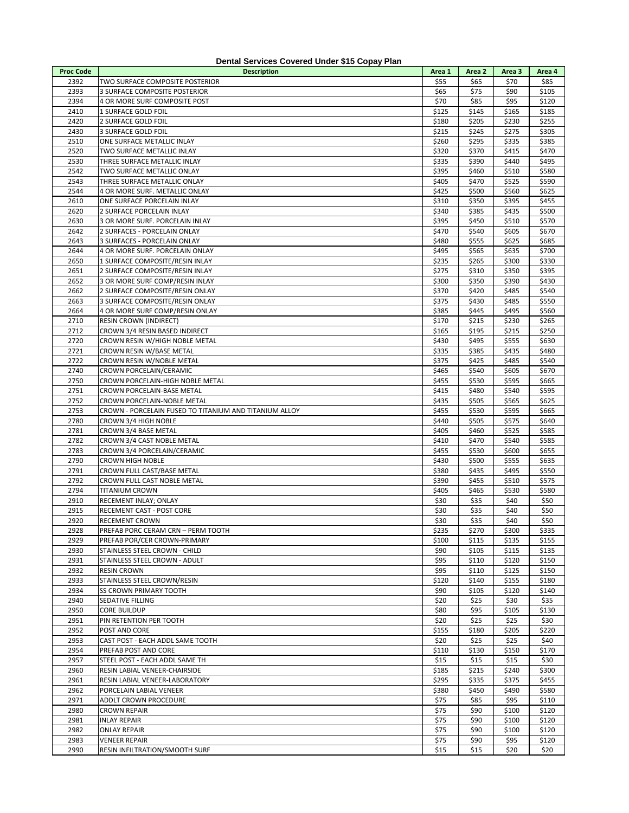|                  | Dental Services Covered Under \$15 Copay Plan              |                |                |                |                |
|------------------|------------------------------------------------------------|----------------|----------------|----------------|----------------|
| <b>Proc Code</b> | <b>Description</b>                                         | Area 1         | Area 2         | Area 3         | Area 4         |
| 2392             | TWO SURFACE COMPOSITE POSTERIOR                            | \$55           | \$65           | \$70           | \$85           |
| 2393             | 3 SURFACE COMPOSITE POSTERIOR                              | \$65           | \$75           | \$90           | \$105          |
| 2394             | 4 OR MORE SURF COMPOSITE POST                              | \$70           | \$85           | \$95           | \$120          |
| 2410             | 1 SURFACE GOLD FOIL                                        | \$125          | \$145          | \$165          | \$185          |
| 2420             | 2 SURFACE GOLD FOIL                                        | \$180          | \$205          | \$230          | \$255          |
| 2430             | 3 SURFACE GOLD FOIL                                        | \$215          | \$245          | \$275          | \$305          |
| 2510             | ONE SURFACE METALLIC INLAY                                 | \$260          | \$295          | \$335          | \$385          |
| 2520             | TWO SURFACE METALLIC INLAY                                 | \$320          | \$370          | \$415          | \$470          |
| 2530             | THREE SURFACE METALLIC INLAY                               | \$335          | \$390          | \$440          | \$495          |
| 2542<br>2543     | TWO SURFACE METALLIC ONLAY<br>THREE SURFACE METALLIC ONLAY | \$395<br>\$405 | \$460<br>\$470 | \$510<br>\$525 | \$580<br>\$590 |
| 2544             | 4 OR MORE SURF. METALLIC ONLAY                             | \$425          | \$500          | \$560          | \$625          |
| 2610             | ONE SURFACE PORCELAIN INLAY                                | \$310          | \$350          | \$395          | \$455          |
| 2620             | 2 SURFACE PORCELAIN INLAY                                  | \$340          | \$385          | \$435          | \$500          |
| 2630             | 3 OR MORE SURF. PORCELAIN INLAY                            | \$395          | \$450          | \$510          | \$570          |
| 2642             | 2 SURFACES - PORCELAIN ONLAY                               | \$470          | \$540          | \$605          | \$670          |
| 2643             | 3 SURFACES - PORCELAIN ONLAY                               | \$480          | \$555          | \$625          | \$685          |
| 2644             | 4 OR MORE SURF. PORCELAIN ONLAY                            | \$495          | \$565          | \$635          | \$700          |
| 2650             | 1 SURFACE COMPOSITE/RESIN INLAY                            | \$235          | \$265          | \$300          | \$330          |
| 2651             | 2 SURFACE COMPOSITE/RESIN INLAY                            | \$275          | \$310          | \$350          | \$395          |
| 2652             | 3 OR MORE SURF COMP/RESIN INLAY                            | \$300          | \$350          | \$390          | \$430          |
| 2662             | 2 SURFACE COMPOSITE/RESIN ONLAY                            | \$370          | \$420          | \$485          | \$540          |
| 2663             | 3 SURFACE COMPOSITE/RESIN ONLAY                            | \$375          | \$430          | \$485          | \$550          |
| 2664             | 4 OR MORE SURF COMP/RESIN ONLAY                            | \$385          | \$445          | \$495          | \$560          |
| 2710             | <b>RESIN CROWN (INDIRECT)</b>                              | \$170          | \$215          | \$230          | \$265          |
| 2712             | CROWN 3/4 RESIN BASED INDIRECT                             | \$165          | \$195          | \$215          | \$250          |
| 2720             | CROWN RESIN W/HIGH NOBLE METAL                             | \$430          | \$495          | \$555          | \$630          |
| 2721             | CROWN RESIN W/BASE METAL                                   | \$335          | \$385          | \$435          | \$480          |
| 2722             | CROWN RESIN W/NOBLE METAL                                  | \$375          | \$425          | \$485          | \$540          |
| 2740             | CROWN PORCELAIN/CERAMIC                                    | \$465          | \$540          | \$605          | \$670          |
| 2750             | CROWN PORCELAIN-HIGH NOBLE METAL                           | \$455          | \$530          | \$595          | \$665          |
| 2751             | CROWN PORCELAIN-BASE METAL                                 | \$415          | \$480          | \$540          | \$595          |
| 2752             | CROWN PORCELAIN-NOBLE METAL                                | \$435          | \$505          | \$565          | \$625          |
| 2753             | CROWN - PORCELAIN FUSED TO TITANIUM AND TITANIUM ALLOY     | \$455          | \$530          | \$595          | \$665          |
| 2780             | CROWN 3/4 HIGH NOBLE                                       | \$440          | \$505          | \$575          | \$640          |
| 2781             | CROWN 3/4 BASE METAL                                       | \$405          | \$460          | \$525          | \$585          |
| 2782             | CROWN 3/4 CAST NOBLE METAL                                 | \$410          | \$470          | \$540          | \$585          |
| 2783             | CROWN 3/4 PORCELAIN/CERAMIC                                | \$455          | \$530          | \$600          | \$655          |
| 2790<br>2791     | <b>CROWN HIGH NOBLE</b><br>CROWN FULL CAST/BASE METAL      | \$430          | \$500          | \$555          | \$635          |
| 2792             |                                                            | \$380          | \$435          | \$495          | \$550          |
| 2794             | CROWN FULL CAST NOBLE METAL<br><b>TITANIUM CROWN</b>       | \$390<br>\$405 | \$455<br>\$465 | \$510<br>\$530 | \$575<br>\$580 |
| 2910             | RECEMENT INLAY; ONLAY                                      | \$30           | \$35           | \$40           | \$50           |
| 2915             | RECEMENT CAST - POST CORE                                  | \$30           | \$35           | \$40           | \$50           |
| 2920             | <b>RECEMENT CROWN</b>                                      | \$30           | \$35           | \$40           | \$50           |
| 2928             | PREFAB PORC CERAM CRN - PERM TOOTH                         | \$235          | \$270          | \$300          | \$335          |
| 2929             | PREFAB POR/CER CROWN-PRIMARY                               | \$100          | \$115          | \$135          | \$155          |
| 2930             | STAINLESS STEEL CROWN - CHILD                              | \$90           | \$105          | \$115          | \$135          |
| 2931             | STAINLESS STEEL CROWN - ADULT                              | \$95           | \$110          | \$120          | \$150          |
| 2932             | <b>RESIN CROWN</b>                                         | \$95           | \$110          | \$125          | \$150          |
| 2933             | STAINLESS STEEL CROWN/RESIN                                | \$120          | \$140          | \$155          | \$180          |
| 2934             | <b>SS CROWN PRIMARY TOOTH</b>                              | \$90           | \$105          | \$120          | \$140          |
| 2940             | SEDATIVE FILLING                                           | \$20           | \$25           | \$30           | \$35           |
| 2950             | <b>CORE BUILDUP</b>                                        | \$80           | \$95           | \$105          | \$130          |
| 2951             | PIN RETENTION PER TOOTH                                    | \$20           | \$25           | \$25           | \$30           |
| 2952             | POST AND CORE                                              | \$155          | \$180          | \$205          | \$220          |
| 2953             | CAST POST - EACH ADDL SAME TOOTH                           | \$20           | \$25           | \$25           | \$40           |
| 2954             | PREFAB POST AND CORE                                       | \$110          | \$130          | \$150          | \$170          |
| 2957             | STEEL POST - EACH ADDL SAME TH                             | \$15           | \$15           | \$15           | \$30           |
| 2960             | RESIN LABIAL VENEER-CHAIRSIDE                              | \$185          | \$215          | \$240          | \$300          |
| 2961             | RESIN LABIAL VENEER-LABORATORY                             | \$295          | \$335          | \$375          | \$455          |
| 2962             | PORCELAIN LABIAL VENEER                                    | \$380          | \$450          | \$490          | \$580          |
| 2971             | ADDLT CROWN PROCEDURE                                      | \$75           | \$85           | \$95           | \$110          |
| 2980             | <b>CROWN REPAIR</b>                                        | \$75           | \$90           | \$100          | \$120          |
| 2981             | <b>INLAY REPAIR</b>                                        | \$75           | \$90           | \$100          | \$120          |
| 2982             | <b>ONLAY REPAIR</b>                                        | \$75           | \$90           | \$100          | \$120          |
| 2983             | <b>VENEER REPAIR</b>                                       | \$75           | \$90           | \$95           | \$120          |
| 2990             | RESIN INFILTRATION/SMOOTH SURF                             | \$15           | \$15           | \$20           | \$20           |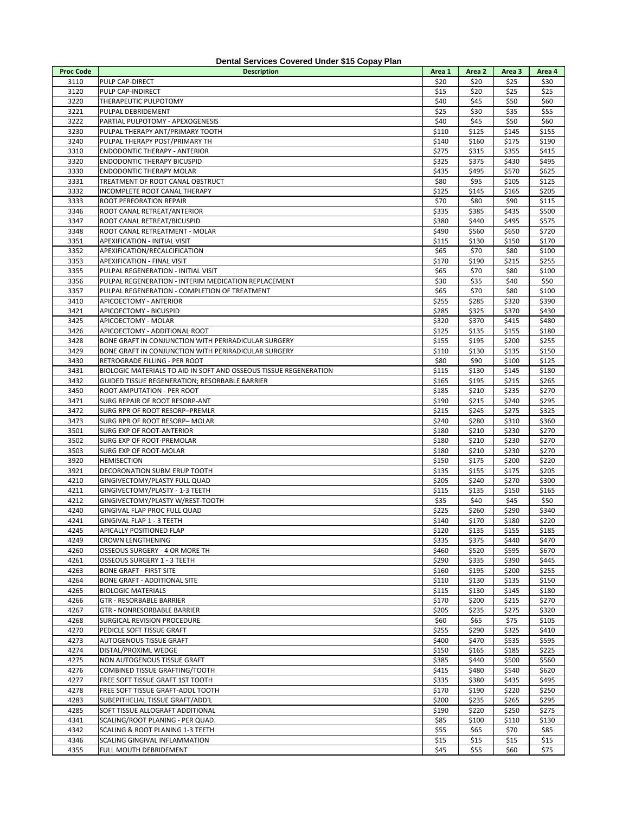| <b>Proc Code</b> | <b>Description</b>                                                | Area 1 | Area 2 | Area 3 | Area 4 |
|------------------|-------------------------------------------------------------------|--------|--------|--------|--------|
| 3110             | PULP CAP-DIRECT                                                   | \$20   | \$20   | \$25   | \$30   |
| 3120             | PULP CAP-INDIRECT                                                 | \$15   | \$20   | \$25   | \$25   |
| 3220             | THERAPEUTIC PULPOTOMY                                             | \$40   | \$45   | \$50   | \$60   |
| 3221             | PULPAL DEBRIDEMENT                                                | \$25   | \$30   | \$35   | \$55   |
|                  |                                                                   |        |        |        |        |
| 3222             | PARTIAL PULPOTOMY - APEXOGENESIS                                  | \$40   | \$45   | \$50   | \$60   |
| 3230             | PULPAL THERAPY ANT/PRIMARY TOOTH                                  | \$110  | \$125  | \$145  | \$155  |
| 3240             | PULPAL THERAPY POST/PRIMARY TH                                    | \$140  | \$160  | \$175  | \$190  |
| 3310             | <b>ENDODONTIC THERAPY - ANTERIOR</b>                              | \$275  | \$315  | \$355  | \$415  |
| 3320             | <b>ENDODONTIC THERAPY BICUSPID</b>                                | \$325  | \$375  | \$430  | \$495  |
| 3330             | <b>ENDODONTIC THERAPY MOLAR</b>                                   | \$435  | \$495  | \$570  | \$625  |
| 3331             | TREATMENT OF ROOT CANAL OBSTRUCT                                  | \$80   | \$95   | \$105  | \$125  |
| 3332             | <b>INCOMPLETE ROOT CANAL THERAPY</b>                              | \$125  | \$145  | \$165  | \$205  |
|                  |                                                                   |        |        |        |        |
| 3333             | ROOT PERFORATION REPAIR                                           | \$70   | \$80   | \$90   | \$115  |
| 3346             | ROOT CANAL RETREAT/ANTERIOR                                       | \$335  | \$385  | \$435  | \$500  |
| 3347             | ROOT CANAL RETREAT/BICUSPID                                       | \$380  | \$440  | \$495  | \$575  |
| 3348             | ROOT CANAL RETREATMENT - MOLAR                                    | \$490  | \$560  | \$650  | \$720  |
| 3351             | APEXIFICATION - INITIAL VISIT                                     | \$115  | \$130  | \$150  | \$170  |
| 3352             | APEXIFICATION/RECALCIFICATION                                     | \$65   | \$70   | \$80   | \$100  |
| 3353             | APEXIFICATION - FINAL VISIT                                       | \$170  | \$190  | \$215  | \$255  |
| 3355             | PULPAL REGENERATION - INITIAL VISIT                               | \$65   | \$70   | \$80   | \$100  |
|                  |                                                                   |        |        |        |        |
| 3356             | PULPAL REGENERATION - INTERIM MEDICATION REPLACEMENT              | \$30   | \$35   | \$40   | \$50   |
| 3357             | PULPAL REGENERATION - COMPLETION OF TREATMENT                     | \$65   | \$70   | \$80   | \$100  |
| 3410             | APICOECTOMY - ANTERIOR                                            | \$255  | \$285  | \$320  | \$390  |
| 3421             | APICOECTOMY - BICUSPID                                            | \$285  | \$325  | \$370  | \$430  |
| 3425             | APICOECTOMY - MOLAR                                               | \$320  | \$370  | \$415  | \$480  |
| 3426             | APICOECTOMY - ADDITIONAL ROOT                                     | \$125  | \$135  | \$155  | \$180  |
| 3428             | BONE GRAFT IN CONJUNCTION WITH PERIRADICULAR SURGERY              | \$155  | \$195  | \$200  | \$255  |
| 3429             | BONE GRAFT IN CONJUNCTION WITH PERIRADICULAR SURGERY              | \$110  | \$130  | \$135  | \$150  |
|                  |                                                                   |        |        |        |        |
| 3430             | RETROGRADE FILLING - PER ROOT                                     | \$80   | \$90   | \$100  | \$125  |
| 3431             | BIOLOGIC MATERIALS TO AID IN SOFT AND OSSEOUS TISSUE REGENERATION | \$115  | \$130  | \$145  | \$180  |
| 3432             | GUIDED TISSUE REGENERATION; RESORBABLE BARRIER                    | \$165  | \$195  | \$215  | \$265  |
| 3450             | ROOT AMPUTATION - PER ROOT                                        | \$185  | \$210  | \$235  | \$270  |
| 3471             | SURG REPAIR OF ROOT RESORP-ANT                                    | \$190  | \$215  | \$240  | \$295  |
| 3472             | SURG RPR OF ROOT RESORP-PREMLR                                    | \$215  | \$245  | \$275  | \$325  |
| 3473             | SURG RPR OF ROOT RESORP- MOLAR                                    | \$240  | \$280  | \$310  | \$360  |
| 3501             | SURG EXP OF ROOT-ANTERIOR                                         | \$180  | \$210  | \$230  | \$270  |
|                  |                                                                   |        |        |        |        |
| 3502             | SURG EXP OF ROOT-PREMOLAR                                         | \$180  | \$210  | \$230  | \$270  |
| 3503             | SURG EXP OF ROOT-MOLAR                                            | \$180  | \$210  | \$230  | \$270  |
| 3920             | <b>HEMISECTION</b>                                                | \$150  | \$175  | \$200  | \$220  |
| 3921             | DECORONATION SUBM ERUP TOOTH                                      | \$135  | \$155  | \$175  | \$205  |
| 4210             | GINGIVECTOMY/PLASTY FULL QUAD                                     | \$205  | \$240  | \$270  | \$300  |
| 4211             | GINGIVECTOMY/PLASTY - 1-3 TEETH                                   | \$115  | \$135  | \$150  | \$165  |
| 4212             | GINGIVECTOMY/PLASTY W/REST-TOOTH                                  | \$35   | \$40   | \$45   | \$50   |
| 4240             | GINGIVAL FLAP PROC FULL QUAD                                      | \$225  | \$260  | \$290  | \$340  |
| 4241             | GINGIVAL FLAP 1 - 3 TEETH                                         | \$140  | \$170  | \$180  | \$220  |
|                  |                                                                   | \$120  |        |        |        |
| 4245             | APICALLY POSITIONED FLAP                                          |        | \$135  | \$155  | \$185  |
| 4249             | <b>CROWN LENGTHENING</b>                                          | \$335  | \$375  | \$440  | \$470  |
| 4260             | OSSEOUS SURGERY - 4 OR MORE TH                                    | \$460  | \$520  | \$595  | \$670  |
| 4261             | <b>OSSEOUS SURGERY 1 - 3 TEETH</b>                                | \$290  | \$335  | \$390  | \$445  |
| 4263             | <b>BONE GRAFT - FIRST SITE</b>                                    | \$160  | \$195  | \$200  | \$255  |
| 4264             | BONE GRAFT - ADDITIONAL SITE                                      | \$110  | \$130  | \$135  | \$150  |
| 4265             | <b>BIOLOGIC MATERIALS</b>                                         | \$115  | \$130  | \$145  | \$180  |
| 4266             | GTR - RESORBABLE BARRIER                                          | \$170  | \$200  | \$215  | \$270  |
| 4267             | GTR - NONRESORBABLE BARRIER                                       | \$205  | \$235  | \$275  | \$320  |
|                  |                                                                   |        |        |        |        |
| 4268             | SURGICAL REVISION PROCEDURE                                       | \$60   | \$65   | \$75   | \$105  |
| 4270             | PEDICLE SOFT TISSUE GRAFT                                         | \$255  | \$290  | \$325  | \$410  |
| 4273             | AUTOGENOUS TISSUE GRAFT                                           | \$400  | \$470  | \$535  | \$595  |
| 4274             | DISTAL/PROXIML WEDGE                                              | \$150  | \$165  | \$185  | \$225  |
| 4275             | NON AUTOGENOUS TISSUE GRAFT                                       | \$385  | \$440  | \$500  | \$560  |
| 4276             | COMBINED TISSUE GRAFTING/TOOTH                                    | \$415  | \$480  | \$540  | \$620  |
| 4277             | FREE SOFT TISSUE GRAFT 1ST TOOTH                                  | \$335  | \$380  | \$435  | \$495  |
| 4278             | FREE SOFT TISSUE GRAFT-ADDL TOOTH                                 | \$170  | \$190  | \$220  | \$250  |
|                  |                                                                   |        |        |        |        |
| 4283             | SUBEPITHELIAL TISSUE GRAFT/ADD'L                                  | \$200  | \$235  | \$265  | \$295  |
| 4285             | SOFT TISSUE ALLOGRAFT ADDITIONAL                                  | \$190  | \$220  | \$250  | \$275  |
| 4341             | SCALING/ROOT PLANING - PER QUAD.                                  | \$85   | \$100  | \$110  | \$130  |
| 4342             | SCALING & ROOT PLANING 1-3 TEETH                                  | \$55   | \$65   | \$70   | \$85   |

4342 SCALING & ROOT PLANING 1-3 TEETH \$55 \$65 \$70 \$85<br>4346 SCALING GINGIVAL INFLAMMATION \$15 \$15 \$15 \$15 \$15 4346 SCALING GINGIVAL INFLAMMATION<br>4355 FULL MOUTH DEBRIDEMENT RESOLUTION AND SAST \$15 \$15 \$15 \$15 \$15 \$15 \$15<br>4355 FULL MOUTH DEBRIDEMENT FULL MOUTH DEBRIDEMENT \$45 \$55 \$60 \$75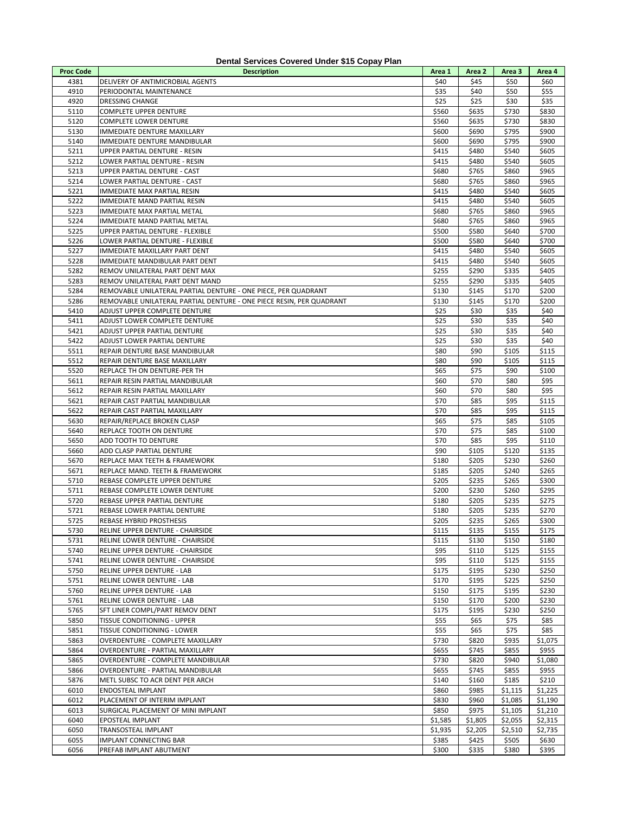|                  | Dental Services Covered Under \$15 Copay Flan                        |         |         |         |         |
|------------------|----------------------------------------------------------------------|---------|---------|---------|---------|
| <b>Proc Code</b> | <b>Description</b>                                                   | Area 1  | Area 2  | Area 3  | Area 4  |
| 4381             | DELIVERY OF ANTIMICROBIAL AGENTS                                     | \$40    | \$45    | \$50    | \$60    |
| 4910             | PERIODONTAL MAINTENANCE                                              | \$35    | \$40    | \$50    | \$55    |
| 4920             | <b>DRESSING CHANGE</b>                                               | \$25    | \$25    | \$30    | \$35    |
| 5110             | COMPLETE UPPER DENTURE                                               | \$560   | \$635   | \$730   | \$830   |
| 5120             | <b>COMPLETE LOWER DENTURE</b>                                        | \$560   | \$635   | \$730   | \$830   |
| 5130             | IMMEDIATE DENTURE MAXILLARY                                          | \$600   | \$690   | \$795   | \$900   |
| 5140             | IMMEDIATE DENTURE MANDIBULAR                                         | \$600   | \$690   | \$795   | \$900   |
| 5211             | UPPER PARTIAL DENTURE - RESIN                                        | \$415   | \$480   | \$540   | \$605   |
| 5212             | LOWER PARTIAL DENTURE - RESIN                                        | \$415   | \$480   | \$540   | \$605   |
| 5213             |                                                                      |         | \$765   |         | \$965   |
|                  | UPPER PARTIAL DENTURE - CAST                                         | \$680   |         | \$860   |         |
| 5214             | LOWER PARTIAL DENTURE - CAST                                         | \$680   | \$765   | \$860   | \$965   |
| 5221             | IMMEDIATE MAX PARTIAL RESIN                                          | \$415   | \$480   | \$540   | \$605   |
| 5222             | IMMEDIATE MAND PARTIAL RESIN                                         | \$415   | \$480   | \$540   | \$605   |
| 5223             | IMMEDIATE MAX PARTIAL METAL                                          | \$680   | \$765   | \$860   | \$965   |
| 5224             | IMMEDIATE MAND PARTIAL METAL                                         | \$680   | \$765   | \$860   | \$965   |
| 5225             | UPPER PARTIAL DENTURE - FLEXIBLE                                     | \$500   | \$580   | \$640   | \$700   |
| 5226             | LOWER PARTIAL DENTURE - FLEXIBLE                                     | \$500   | \$580   | \$640   | \$700   |
| 5227             | IMMEDIATE MAXILLARY PART DENT                                        | \$415   | \$480   | \$540   | \$605   |
| 5228             | IMMEDIATE MANDIBULAR PART DENT                                       | \$415   | \$480   | \$540   | \$605   |
| 5282             | REMOV UNILATERAL PART DENT MAX                                       | \$255   | \$290   | \$335   | \$405   |
|                  |                                                                      |         |         |         |         |
| 5283             | REMOV UNILATERAL PART DENT MAND                                      | \$255   | \$290   | \$335   | \$405   |
| 5284             | REMOVABLE UNILATERAL PARTIAL DENTURE - ONE PIECE, PER QUADRANT       | \$130   | \$145   | \$170   | \$200   |
| 5286             | REMOVABLE UNILATERAL PARTIAL DENTURE - ONE PIECE RESIN, PER QUADRANT | \$130   | \$145   | \$170   | \$200   |
| 5410             | ADJUST UPPER COMPLETE DENTURE                                        | \$25    | \$30    | \$35    | \$40    |
| 5411             | ADJUST LOWER COMPLETE DENTURE                                        | \$25    | \$30    | \$35    | \$40    |
| 5421             | ADJUST UPPER PARTIAL DENTURE                                         | \$25    | \$30    | \$35    | \$40    |
| 5422             | ADJUST LOWER PARTIAL DENTURE                                         | \$25    | \$30    | \$35    | \$40    |
| 5511             | REPAIR DENTURE BASE MANDIBULAR                                       | \$80    | \$90    | \$105   | \$115   |
| 5512             | REPAIR DENTURE BASE MAXILLARY                                        | \$80    | \$90    | \$105   | \$115   |
| 5520             | REPLACE TH ON DENTURE-PER TH                                         | \$65    | \$75    | \$90    | \$100   |
| 5611             | REPAIR RESIN PARTIAL MANDIBULAR                                      | \$60    | \$70    | \$80    | \$95    |
|                  |                                                                      |         |         |         |         |
| 5612             | REPAIR RESIN PARTIAL MAXILLARY                                       | \$60    | \$70    | \$80    | \$95    |
| 5621             | REPAIR CAST PARTIAL MANDIBULAR                                       | \$70    | \$85    | \$95    | \$115   |
| 5622             | REPAIR CAST PARTIAL MAXILLARY                                        | \$70    | \$85    | \$95    | \$115   |
| 5630             | REPAIR/REPLACE BROKEN CLASP                                          | \$65    | \$75    | \$85    | \$105   |
| 5640             | REPLACE TOOTH ON DENTURE                                             | \$70    | \$75    | \$85    | \$100   |
| 5650             | ADD TOOTH TO DENTURE                                                 | \$70    | \$85    | \$95    | \$110   |
| 5660             | ADD CLASP PARTIAL DENTURE                                            | \$90    | \$105   | \$120   | \$135   |
| 5670             | REPLACE MAX TEETH & FRAMEWORK                                        | \$180   | \$205   | \$230   | \$260   |
| 5671             | REPLACE MAND. TEETH & FRAMEWORK                                      | \$185   | \$205   | \$240   | \$265   |
| 5710             | REBASE COMPLETE UPPER DENTURE                                        | \$205   | \$235   | \$265   | \$300   |
| 5711             | REBASE COMPLETE LOWER DENTURE                                        | \$200   | \$230   | \$260   | \$295   |
| 5720             | REBASE UPPER PARTIAL DENTURE                                         |         |         |         |         |
|                  |                                                                      | \$180   | \$205   | \$235   | \$275   |
| 5721             | REBASE LOWER PARTIAL DENTURE                                         | \$180   | \$205   | \$235   | \$270   |
| 5725             | <b>REBASE HYBRID PROSTHESIS</b>                                      | \$205   | \$235   | \$265   | \$300   |
| 5730             | RELINE UPPER DENTURE - CHAIRSIDE                                     | \$115   | \$135   | \$155   | \$175   |
| 5731             | RELINE LOWER DENTURE - CHAIRSIDE                                     | \$115   | \$130   | \$150   | \$180   |
| 5740             | RELINE UPPER DENTURE - CHAIRSIDE                                     | \$95    | \$110   | \$125   | \$155   |
| 5741             | RELINE LOWER DENTURE - CHAIRSIDE                                     | \$95    | \$110   | \$125   | \$155   |
| 5750             | RELINE UPPER DENTURE - LAB                                           | \$175   | \$195   | \$230   | \$250   |
| 5751             | RELINE LOWER DENTURE - LAB                                           | \$170   | \$195   | \$225   | \$250   |
| 5760             | RELINE UPPER DENTURE - LAB                                           | \$150   | \$175   | \$195   | \$230   |
| 5761             | RELINE LOWER DENTURE - LAB                                           | \$150   | \$170   | \$200   | \$230   |
| 5765             | SFT LINER COMPL/PART REMOV DENT                                      | \$175   | \$195   | \$230   | \$250   |
|                  |                                                                      |         |         |         |         |
| 5850             | TISSUE CONDITIONING - UPPER                                          | \$55    | \$65    | \$75    | \$85    |
| 5851             | TISSUE CONDITIONING - LOWER                                          | \$55    | \$65    | \$75    | \$85    |
| 5863             | OVERDENTURE - COMPLETE MAXILLARY                                     | \$730   | \$820   | \$935   | \$1,075 |
| 5864             | OVERDENTURE - PARTIAL MAXILLARY                                      | \$655   | \$745   | \$855   | \$955   |
| 5865             | OVERDENTURE - COMPLETE MANDIBULAR                                    | \$730   | \$820   | \$940   | \$1,080 |
| 5866             | OVERDENTURE - PARTIAL MANDIBULAR                                     | \$655   | \$745   | \$855   | \$955   |
| 5876             | METL SUBSC TO ACR DENT PER ARCH                                      | \$140   | \$160   | \$185   | \$210   |
| 6010             | ENDOSTEAL IMPLANT                                                    | \$860   | \$985   | \$1,115 | \$1,225 |
| 6012             | PLACEMENT OF INTERIM IMPLANT                                         | \$830   | \$960   | \$1,085 | \$1,190 |
| 6013             | SURGICAL PLACEMENT OF MINI IMPLANT                                   | \$850   | \$975   | \$1,105 | \$1,210 |
| 6040             | EPOSTEAL IMPLANT                                                     | \$1,585 | \$1,805 | \$2,055 | \$2,315 |
|                  |                                                                      |         |         |         |         |
| 6050             | TRANSOSTEAL IMPLANT                                                  | \$1,935 | \$2,205 | \$2,510 | \$2,735 |
| 6055             | IMPLANT CONNECTING BAR                                               | \$385   | \$425   | \$505   | \$630   |
| 6056             | PREFAB IMPLANT ABUTMENT                                              | \$300   | \$335   | \$380   | \$395   |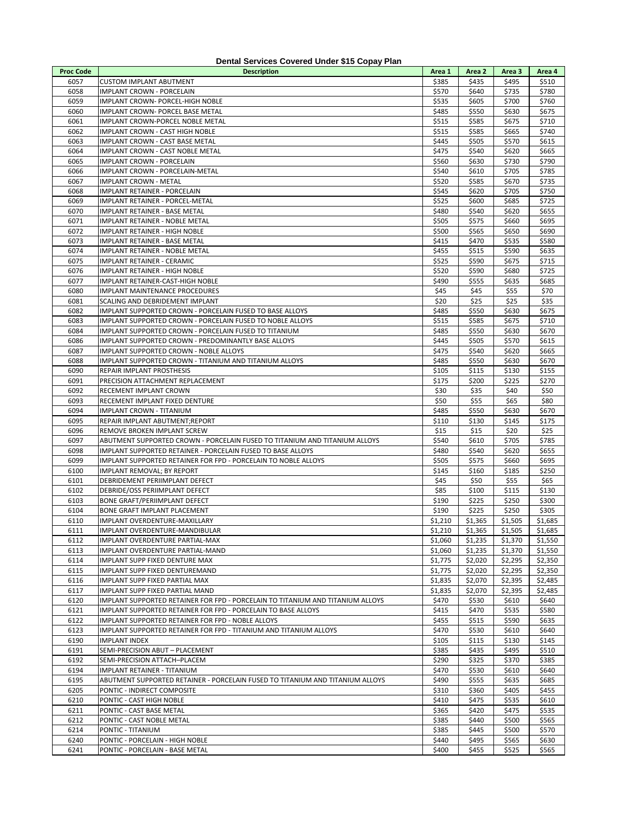| Dental Services Covered Under \$15 Copay Plan |                                                                                                                   |                  |                  |                  |                  |  |  |  |  |  |
|-----------------------------------------------|-------------------------------------------------------------------------------------------------------------------|------------------|------------------|------------------|------------------|--|--|--|--|--|
| <b>Proc Code</b>                              | <b>Description</b>                                                                                                | Area 1           | Area 2           | Area 3           | Area 4           |  |  |  |  |  |
| 6057                                          | <b>CUSTOM IMPLANT ABUTMENT</b>                                                                                    | \$385            | \$435            | \$495            | \$510            |  |  |  |  |  |
| 6058                                          | IMPLANT CROWN - PORCELAIN                                                                                         | \$570            | \$640            | \$735            | \$780            |  |  |  |  |  |
| 6059                                          | IMPLANT CROWN- PORCEL-HIGH NOBLE                                                                                  | \$535            | \$605            | \$700            | \$760            |  |  |  |  |  |
| 6060                                          | IMPLANT CROWN- PORCEL BASE METAL                                                                                  | \$485            | \$550            | \$630            | \$675            |  |  |  |  |  |
| 6061                                          | IMPLANT CROWN-PORCEL NOBLE METAL                                                                                  | \$515            | \$585            | \$675            | \$710            |  |  |  |  |  |
| 6062                                          | IMPLANT CROWN - CAST HIGH NOBLE                                                                                   | \$515            | \$585            | \$665            | \$740            |  |  |  |  |  |
| 6063                                          | IMPLANT CROWN - CAST BASE METAL                                                                                   | \$445            | \$505            | \$570            | \$615            |  |  |  |  |  |
| 6064<br>6065                                  | IMPLANT CROWN - CAST NOBLE METAL<br><b>IMPLANT CROWN - PORCELAIN</b>                                              | \$475<br>\$560   | \$540<br>\$630   | \$620<br>\$730   | \$665<br>\$790   |  |  |  |  |  |
| 6066                                          | IMPLANT CROWN - PORCELAIN-METAL                                                                                   | \$540            | \$610            | \$705            | \$785            |  |  |  |  |  |
| 6067                                          | <b>IMPLANT CROWN - METAL</b>                                                                                      | \$520            | \$585            | \$670            | \$735            |  |  |  |  |  |
| 6068                                          | IMPLANT RETAINER - PORCELAIN                                                                                      | \$545            | \$620            | \$705            | \$750            |  |  |  |  |  |
| 6069                                          | IMPLANT RETAINER - PORCEL-METAL                                                                                   | \$525            | \$600            | \$685            | \$725            |  |  |  |  |  |
| 6070                                          | IMPLANT RETAINER - BASE METAL                                                                                     | \$480            | \$540            | \$620            | \$655            |  |  |  |  |  |
| 6071                                          | IMPLANT RETAINER - NOBLE METAL                                                                                    | \$505            | \$575            | \$660            | \$695            |  |  |  |  |  |
| 6072                                          | IMPLANT RETAINER - HIGH NOBLE                                                                                     | \$500            | \$565            | \$650            | \$690            |  |  |  |  |  |
| 6073                                          | IMPLANT RETAINER - BASE METAL                                                                                     | \$415            | \$470            | \$535            | \$580            |  |  |  |  |  |
| 6074                                          | IMPLANT RETAINER - NOBLE METAL                                                                                    | \$455            | \$515            | \$590            | \$635            |  |  |  |  |  |
| 6075                                          | IMPLANT RETAINER - CERAMIC                                                                                        | \$525            | \$590            | \$675            | \$715            |  |  |  |  |  |
| 6076                                          | IMPLANT RETAINER - HIGH NOBLE                                                                                     | \$520            | \$590            | \$680            | \$725            |  |  |  |  |  |
| 6077                                          | IMPLANT RETAINER-CAST-HIGH NOBLE                                                                                  | \$490            | \$555            | \$635            | \$685            |  |  |  |  |  |
| 6080                                          | IMPLANT MAINTENANCE PROCEDURES                                                                                    | \$45             | \$45             | \$55             | \$70             |  |  |  |  |  |
| 6081                                          | SCALING AND DEBRIDEMENT IMPLANT                                                                                   | \$20             | \$25             | \$25             | \$35             |  |  |  |  |  |
| 6082                                          | IMPLANT SUPPORTED CROWN - PORCELAIN FUSED TO BASE ALLOYS                                                          | \$485            | \$550            | \$630            | \$675            |  |  |  |  |  |
| 6083                                          | IMPLANT SUPPORTED CROWN - PORCELAIN FUSED TO NOBLE ALLOYS                                                         | \$515            | \$585            | \$675            | \$710            |  |  |  |  |  |
| 6084                                          | IMPLANT SUPPORTED CROWN - PORCELAIN FUSED TO TITANIUM                                                             | \$485            | \$550            | \$630            | \$670            |  |  |  |  |  |
| 6086                                          | IMPLANT SUPPORTED CROWN - PREDOMINANTLY BASE ALLOYS                                                               | \$445            | \$505            | \$570            | \$615            |  |  |  |  |  |
| 6087                                          | IMPLANT SUPPORTED CROWN - NOBLE ALLOYS                                                                            | \$475            | \$540            | \$620            | \$665            |  |  |  |  |  |
| 6088                                          | IMPLANT SUPPORTED CROWN - TITANIUM AND TITANIUM ALLOYS                                                            | \$485            | \$550            | \$630            | \$670            |  |  |  |  |  |
| 6090                                          | REPAIR IMPLANT PROSTHESIS                                                                                         | \$105            | \$115            | \$130            | \$155            |  |  |  |  |  |
| 6091                                          | PRECISION ATTACHMENT REPLACEMENT                                                                                  | \$175            | \$200            | \$225            | \$270            |  |  |  |  |  |
| 6092                                          | RECEMENT IMPLANT CROWN                                                                                            | \$30             | \$35             | \$40             | \$50             |  |  |  |  |  |
| 6093<br>6094                                  | RECEMENT IMPLANT FIXED DENTURE<br>IMPLANT CROWN - TITANIUM                                                        | \$50<br>\$485    | \$55<br>\$550    | \$65<br>\$630    | \$80<br>\$670    |  |  |  |  |  |
| 6095                                          | REPAIR IMPLANT ABUTMENT; REPORT                                                                                   | \$110            | \$130            | \$145            | \$175            |  |  |  |  |  |
| 6096                                          | REMOVE BROKEN IMPLANT SCREW                                                                                       | \$15             | \$15             | \$20             | \$25             |  |  |  |  |  |
| 6097                                          | ABUTMENT SUPPORTED CROWN - PORCELAIN FUSED TO TITANIUM AND TITANIUM ALLOYS                                        | \$540            | \$610            | \$705            | \$785            |  |  |  |  |  |
| 6098                                          | IMPLANT SUPPORTED RETAINER - PORCELAIN FUSED TO BASE ALLOYS                                                       | \$480            | \$540            | \$620            | \$655            |  |  |  |  |  |
| 6099                                          | IMPLANT SUPPORTED RETAINER FOR FPD - PORCELAIN TO NOBLE ALLOYS                                                    | \$505            | \$575            | \$660            | \$695            |  |  |  |  |  |
| 6100                                          | IMPLANT REMOVAL; BY REPORT                                                                                        | \$145            | \$160            | \$185            | \$250            |  |  |  |  |  |
| 6101                                          | DEBRIDEMENT PERIIMPLANT DEFECT                                                                                    | \$45             | \$50             | \$55             | \$65             |  |  |  |  |  |
| 6102                                          | DEBRIDE/OSS PERIIMPLANT DEFECT                                                                                    | \$85             | \$100            | \$115            | \$130            |  |  |  |  |  |
| 6103                                          | BONE GRAFT/PERIIMPLANT DEFECT                                                                                     | \$190            | \$225            | \$250            | \$300            |  |  |  |  |  |
| 6104                                          | BONE GRAFT IMPLANT PLACEMENT                                                                                      | \$190            | \$225            | \$250            | \$305            |  |  |  |  |  |
| 6110                                          | IMPLANT OVERDENTURE-MAXILLARY                                                                                     | \$1,210          | \$1,365          | \$1,505          | \$1,685          |  |  |  |  |  |
| 6111                                          | IMPLANT OVERDENTURE-MANDIBULAR                                                                                    | \$1,210          | \$1,365          | \$1,505          | \$1,685          |  |  |  |  |  |
| 6112                                          | IMPLANT OVERDENTURE PARTIAL-MAX                                                                                   | \$1,060          | \$1,235          | \$1,370          | \$1,550          |  |  |  |  |  |
| 6113                                          | IMPLANT OVERDENTURE PARTIAL-MAND                                                                                  | \$1,060          | \$1,235          | \$1,370          | \$1,550          |  |  |  |  |  |
| 6114                                          | IMPLANT SUPP FIXED DENTURE MAX                                                                                    | \$1,775          | \$2,020          | \$2,295          | \$2,350          |  |  |  |  |  |
| 6115                                          | IMPLANT SUPP FIXED DENTUREMAND                                                                                    | \$1,775          | \$2,020          | \$2,295          | \$2,350          |  |  |  |  |  |
| 6116                                          | IMPLANT SUPP FIXED PARTIAL MAX                                                                                    | \$1,835          | \$2,070          | \$2,395          | \$2,485          |  |  |  |  |  |
| 6117<br>6120                                  | IMPLANT SUPP FIXED PARTIAL MAND<br>IMPLANT SUPPORTED RETAINER FOR FPD - PORCELAIN TO TITANIUM AND TITANIUM ALLOYS | \$1,835<br>\$470 | \$2,070<br>\$530 | \$2,395<br>\$610 | \$2,485<br>\$640 |  |  |  |  |  |
| 6121                                          | IMPLANT SUPPORTED RETAINER FOR FPD - PORCELAIN TO BASE ALLOYS                                                     | \$415            | \$470            | \$535            | \$580            |  |  |  |  |  |
| 6122                                          | IMPLANT SUPPORTED RETAINER FOR FPD - NOBLE ALLOYS                                                                 | \$455            | \$515            | \$590            | \$635            |  |  |  |  |  |
| 6123                                          | IMPLANT SUPPORTED RETAINER FOR FPD - TITANIUM AND TITANIUM ALLOYS                                                 | \$470            | \$530            | \$610            | \$640            |  |  |  |  |  |
| 6190                                          | <b>IMPLANT INDEX</b>                                                                                              | \$105            | \$115            | \$130            | \$145            |  |  |  |  |  |
| 6191                                          | SEMI-PRECISION ABUT - PLACEMENT                                                                                   | \$385            | \$435            | \$495            | \$510            |  |  |  |  |  |
| 6192                                          | SEMI-PRECISION ATTACH-PLACEM                                                                                      | \$290            | \$325            | \$370            | \$385            |  |  |  |  |  |
| 6194                                          | IMPLANT RETAINER - TITANIUM                                                                                       | \$470            | \$530            | \$610            | \$640            |  |  |  |  |  |
| 6195                                          | ABUTMENT SUPPORTED RETAINER - PORCELAIN FUSED TO TITANIUM AND TITANIUM ALLOYS                                     | \$490            | \$555            | \$635            | \$685            |  |  |  |  |  |
| 6205                                          | PONTIC - INDIRECT COMPOSITE                                                                                       | \$310            | \$360            | \$405            | \$455            |  |  |  |  |  |
| 6210                                          | PONTIC - CAST HIGH NOBLE                                                                                          | \$410            | \$475            | \$535            | \$610            |  |  |  |  |  |
| 6211                                          | PONTIC - CAST BASE METAL                                                                                          | \$365            | \$420            | \$475            | \$535            |  |  |  |  |  |
| 6212                                          | PONTIC - CAST NOBLE METAL                                                                                         | \$385            | \$440            | \$500            | \$565            |  |  |  |  |  |
| 6214                                          | PONTIC - TITANIUM                                                                                                 | \$385            | \$445            | \$500            | \$570            |  |  |  |  |  |
| 6240                                          | PONTIC - PORCELAIN - HIGH NOBLE                                                                                   | \$440            | \$495            | \$565            | \$630            |  |  |  |  |  |
| 6241                                          | PONTIC - PORCELAIN - BASE METAL                                                                                   | \$400            | \$455            | \$525            | \$565            |  |  |  |  |  |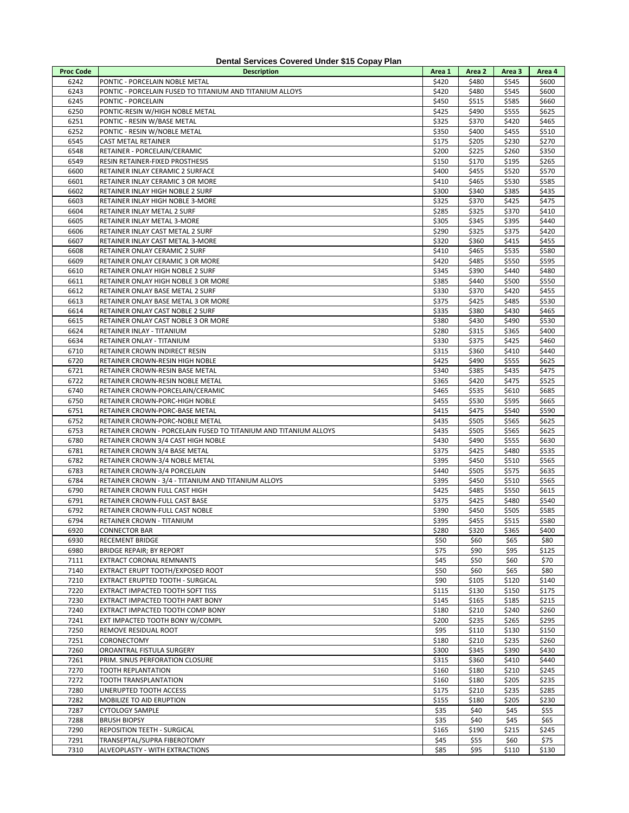| <b>Proc Code</b> | <b>Description</b>                                               | Area 1       | Area 2       | Area 3       | Area 4       |
|------------------|------------------------------------------------------------------|--------------|--------------|--------------|--------------|
| 6242             | PONTIC - PORCELAIN NOBLE METAL                                   | \$420        | \$480        | \$545        | \$600        |
| 6243             | PONTIC - PORCELAIN FUSED TO TITANIUM AND TITANIUM ALLOYS         | \$420        | \$480        | \$545        | \$600        |
| 6245             | PONTIC - PORCELAIN                                               | \$450        | \$515        | \$585        | \$660        |
| 6250             | PONTIC-RESIN W/HIGH NOBLE METAL                                  | \$425        | \$490        | \$555        | \$625        |
| 6251             | PONTIC - RESIN W/BASE METAL                                      | \$325        | \$370        | \$420        | \$465        |
| 6252             | PONTIC - RESIN W/NOBLE METAL                                     | \$350        | \$400        | \$455        | \$510        |
| 6545             | CAST METAL RETAINER                                              | \$175        | \$205        | \$230        | \$270        |
| 6548             | RETAINER - PORCELAIN/CERAMIC                                     | \$200        | \$225        | \$260        | \$350        |
| 6549             | RESIN RETAINER-FIXED PROSTHESIS                                  | \$150        | \$170        | \$195        | \$265        |
| 6600             | RETAINER INLAY CERAMIC 2 SURFACE                                 | \$400        | \$455        | \$520        | \$570        |
| 6601             | RETAINER INLAY CERAMIC 3 OR MORE                                 | \$410        | \$465        | \$530        | \$585        |
| 6602             | RETAINER INLAY HIGH NOBLE 2 SURF                                 | \$300        | \$340        | \$385        | \$435        |
| 6603             | RETAINER INLAY HIGH NOBLE 3-MORE                                 | \$325        | \$370        | \$425        | \$475        |
| 6604             | RETAINER INLAY METAL 2 SURF                                      | \$285        | \$325        | \$370        | \$410        |
| 6605             | RETAINER INLAY METAL 3-MORE                                      | \$305        | \$345        | \$395        | \$440        |
| 6606             | RETAINER INLAY CAST METAL 2 SURF                                 | \$290        | \$325        | \$375        | \$420        |
| 6607             | RETAINER INLAY CAST METAL 3-MORE                                 | \$320        | \$360        | \$415        | \$455        |
| 6608             | RETAINER ONLAY CERAMIC 2 SURF                                    | \$410        | \$465        | \$535        | \$580        |
| 6609             | RETAINER ONLAY CERAMIC 3 OR MORE                                 | \$420        | \$485        | \$550        | \$595        |
| 6610             | RETAINER ONLAY HIGH NOBLE 2 SURF                                 | \$345        | \$390        | \$440        | \$480        |
| 6611             | RETAINER ONLAY HIGH NOBLE 3 OR MORE                              | \$385        | \$440        | \$500        | \$550        |
| 6612             | RETAINER ONLAY BASE METAL 2 SURF                                 | \$330        | \$370        | \$420        | \$455        |
| 6613             | RETAINER ONLAY BASE METAL 3 OR MORE                              | \$375        | \$425        | \$485        | \$530        |
| 6614             | RETAINER ONLAY CAST NOBLE 2 SURF                                 | \$335        | \$380        | \$430        | \$465        |
| 6615             | RETAINER ONLAY CAST NOBLE 3 OR MORE                              | \$380        | \$430        | \$490        | \$530        |
| 6624             | RETAINER INLAY - TITANIUM                                        | \$280        | \$315        | \$365        | \$400        |
| 6634             | RETAINER ONLAY - TITANIUM                                        | \$330        | \$375        | \$425        | \$460        |
| 6710             | RETAINER CROWN INDIRECT RESIN                                    | \$315        | \$360        | \$410        | \$440        |
| 6720             | RETAINER CROWN-RESIN HIGH NOBLE                                  | \$425        | \$490        | \$555        | \$625        |
| 6721             | RETAINER CROWN-RESIN BASE METAL                                  | \$340        | \$385        | \$435        | \$475        |
| 6722             | RETAINER CROWN-RESIN NOBLE METAL                                 | \$365        | \$420        | \$475        | \$525        |
| 6740             | RETAINER CROWN-PORCELAIN/CERAMIC                                 | \$465        | \$535        | \$610        | \$685        |
| 6750             | RETAINER CROWN-PORC-HIGH NOBLE                                   | \$455        | \$530        | \$595        | \$665        |
| 6751             | RETAINER CROWN-PORC-BASE METAL                                   | \$415        | \$475        | \$540        | \$590        |
| 6752             | RETAINER CROWN-PORC-NOBLE METAL                                  | \$435        | \$505        | \$565        | \$625        |
| 6753             | RETAINER CROWN - PORCELAIN FUSED TO TITANIUM AND TITANIUM ALLOYS | \$435        | \$505        | \$565        | \$625        |
| 6780             | RETAINER CROWN 3/4 CAST HIGH NOBLE                               | \$430        | \$490        | \$555        | \$630        |
| 6781             | RETAINER CROWN 3/4 BASE METAL                                    | \$375        | \$425        | \$480        | \$535        |
| 6782             | RETAINER CROWN-3/4 NOBLE METAL                                   | \$395        | \$450        | \$510        | \$565        |
| 6783             | RETAINER CROWN-3/4 PORCELAIN                                     | \$440        | \$505        | \$575        | \$635        |
| 6784             | RETAINER CROWN - 3/4 - TITANIUM AND TITANIUM ALLOYS              | \$395        | \$450        | \$510        | \$565        |
| 6790             | RETAINER CROWN FULL CAST HIGH                                    | \$425        | \$485        | \$550        | \$615        |
| 6791             | RETAINER CROWN-FULL CAST BASE                                    | \$375        | \$425        | \$480        | \$540        |
| 6792             | RETAINER CROWN-FULL CAST NOBLE                                   | \$390        | \$450        | \$505        | \$585        |
| 6794             | RETAINER CROWN - TITANIUM                                        | \$395        | \$455        | \$515        | \$580        |
| 6920             | <b>CONNECTOR BAR</b>                                             | \$280        | \$320        | \$365        | \$400        |
| 6930             | RECEMENT BRIDGE                                                  | \$50         | \$60         | \$65         | \$80         |
| 6980             | <b>BRIDGE REPAIR; BY REPORT</b>                                  | \$75         | \$90         | \$95         | \$125        |
| 7111             | EXTRACT CORONAL REMNANTS                                         | \$45         | \$50         | \$60         | \$70         |
| 7140             | EXTRACT ERUPT TOOTH/EXPOSED ROOT                                 | \$50         | \$60         | \$65         | \$80         |
| 7210             | EXTRACT ERUPTED TOOTH - SURGICAL                                 | \$90         | \$105        | \$120        | \$140        |
| 7220             | EXTRACT IMPACTED TOOTH SOFT TISS                                 | \$115        | \$130        | \$150        | \$175        |
| 7230             | EXTRACT IMPACTED TOOTH PART BONY                                 | \$145        | \$165        | \$185        | \$215        |
| 7240             | EXTRACT IMPACTED TOOTH COMP BONY                                 | \$180        | \$210        | \$240        | \$260        |
| 7241             | EXT IMPACTED TOOTH BONY W/COMPL                                  | \$200        | \$235        | \$265        | \$295        |
| 7250             | REMOVE RESIDUAL ROOT                                             | \$95         | \$110        | \$130        | \$150        |
| 7251             | CORONECTOMY                                                      | \$180        | \$210        | \$235        | \$260        |
| 7260             | OROANTRAL FISTULA SURGERY                                        | \$300        | \$345        | \$390        | \$430        |
| 7261             | PRIM. SINUS PERFORATION CLOSURE                                  | \$315        | \$360        | \$410        | \$440        |
| 7270             | TOOTH REPLANTATION                                               | \$160        | \$180        | \$210        | \$245        |
| 7272             | TOOTH TRANSPLANTATION                                            | \$160        | \$180        | \$205        | \$235        |
| 7280<br>7282     | UNERUPTED TOOTH ACCESS                                           | \$175        | \$210        | \$235        | \$285        |
| 7287             | MOBILIZE TO AID ERUPTION                                         | \$155        | \$180        | \$205        | \$230        |
| 7288             | <b>CYTOLOGY SAMPLE</b><br><b>BRUSH BIOPSY</b>                    | \$35<br>\$35 | \$40<br>\$40 | \$45<br>\$45 | \$55<br>\$65 |
| 7290             | REPOSITION TEETH - SURGICAL                                      | \$165        | \$190        | \$215        | \$245        |
| 7291             | TRANSEPTAL/SUPRA FIBEROTOMY                                      | \$45         | \$55         | \$60         | \$75         |
| 7310             | ALVEOPLASTY - WITH EXTRACTIONS                                   | \$85         | \$95         | \$110        | \$130        |